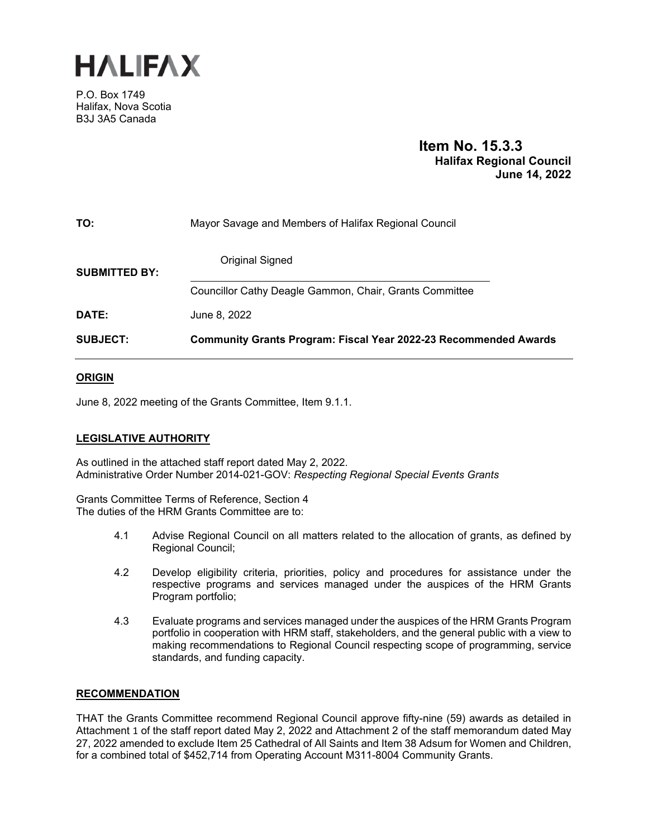

P.O. Box 1749 Halifax, Nova Scotia B3J 3A5 Canada

# **Item No. 15.3.3 Halifax Regional Council June 14, 2022**

| TO:                  | Mayor Savage and Members of Halifax Regional Council                    |  |  |
|----------------------|-------------------------------------------------------------------------|--|--|
| <b>SUBMITTED BY:</b> | Original Signed                                                         |  |  |
|                      | Councillor Cathy Deagle Gammon, Chair, Grants Committee                 |  |  |
| DATE:                | June 8, 2022                                                            |  |  |
| <b>SUBJECT:</b>      | <b>Community Grants Program: Fiscal Year 2022-23 Recommended Awards</b> |  |  |

#### **ORIGIN**

June 8, 2022 meeting of the Grants Committee, Item 9.1.1.

#### **LEGISLATIVE AUTHORITY**

As outlined in the attached staff report dated May 2, 2022. Administrative Order Number 2014-021-GOV: *Respecting Regional Special Events Grants*

Grants Committee Terms of Reference, Section 4 The duties of the HRM Grants Committee are to:

- 4.1 Advise Regional Council on all matters related to the allocation of grants, as defined by Regional Council;
- 4.2 Develop eligibility criteria, priorities, policy and procedures for assistance under the respective programs and services managed under the auspices of the HRM Grants Program portfolio;
- 4.3 Evaluate programs and services managed under the auspices of the HRM Grants Program portfolio in cooperation with HRM staff, stakeholders, and the general public with a view to making recommendations to Regional Council respecting scope of programming, service standards, and funding capacity.

#### **RECOMMENDATION**

THAT the Grants Committee recommend Regional Council approve fifty-nine (59) awards as detailed in Attachment 1 of the staff report dated May 2, 2022 and Attachment 2 of the staff memorandum dated May 27, 2022 amended to exclude Item 25 Cathedral of All Saints and Item 38 Adsum for Women and Children, for a combined total of \$452,714 from Operating Account M311-8004 Community Grants.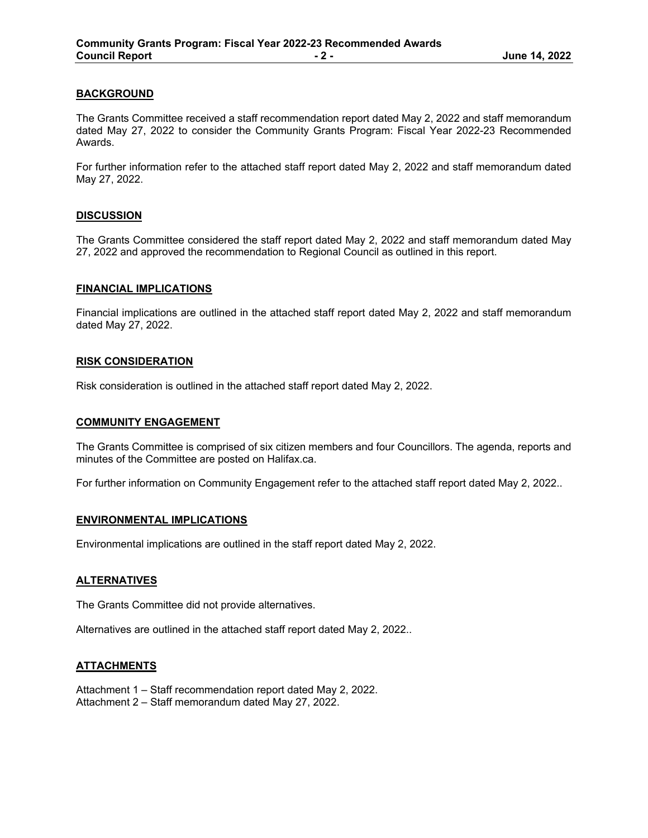#### **BACKGROUND**

The Grants Committee received a staff recommendation report dated May 2, 2022 and staff memorandum dated May 27, 2022 to consider the Community Grants Program: Fiscal Year 2022-23 Recommended Awards.

For further information refer to the attached staff report dated May 2, 2022 and staff memorandum dated May 27, 2022.

#### **DISCUSSION**

The Grants Committee considered the staff report dated May 2, 2022 and staff memorandum dated May 27, 2022 and approved the recommendation to Regional Council as outlined in this report.

#### **FINANCIAL IMPLICATIONS**

Financial implications are outlined in the attached staff report dated May 2, 2022 and staff memorandum dated May 27, 2022.

#### **RISK CONSIDERATION**

Risk consideration is outlined in the attached staff report dated May 2, 2022.

#### **COMMUNITY ENGAGEMENT**

The Grants Committee is comprised of six citizen members and four Councillors. The agenda, reports and minutes of the Committee are posted on Halifax.ca.

For further information on Community Engagement refer to the attached staff report dated May 2, 2022..

#### **ENVIRONMENTAL IMPLICATIONS**

Environmental implications are outlined in the staff report dated May 2, 2022.

#### **ALTERNATIVES**

The Grants Committee did not provide alternatives.

Alternatives are outlined in the attached staff report dated May 2, 2022..

#### **ATTACHMENTS**

Attachment 1 – Staff recommendation report dated May 2, 2022. Attachment 2 – Staff memorandum dated May 27, 2022.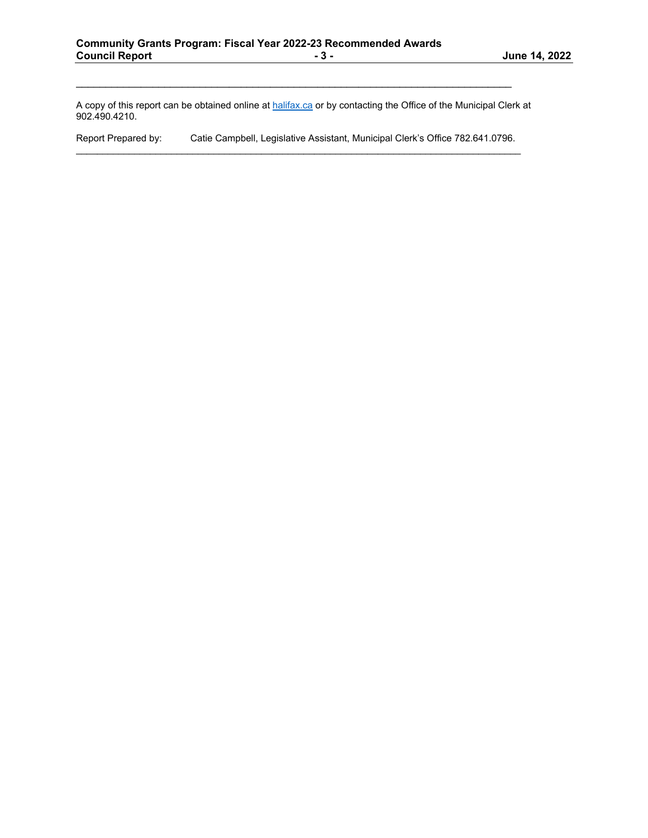A copy of this report can be obtained online at halifax.ca or by contacting the Office of the Municipal Clerk at 902.490.4210.

Report Prepared by: Catie Campbell, Legislative Assistant, Municipal Clerk's Office 782.641.0796.  $\mathcal{L}_\mathcal{L} = \{ \mathcal{L}_\mathcal{L} = \{ \mathcal{L}_\mathcal{L} = \{ \mathcal{L}_\mathcal{L} = \{ \mathcal{L}_\mathcal{L} = \{ \mathcal{L}_\mathcal{L} = \{ \mathcal{L}_\mathcal{L} = \{ \mathcal{L}_\mathcal{L} = \{ \mathcal{L}_\mathcal{L} = \{ \mathcal{L}_\mathcal{L} = \{ \mathcal{L}_\mathcal{L} = \{ \mathcal{L}_\mathcal{L} = \{ \mathcal{L}_\mathcal{L} = \{ \mathcal{L}_\mathcal{L} = \{ \mathcal{L}_\mathcal{$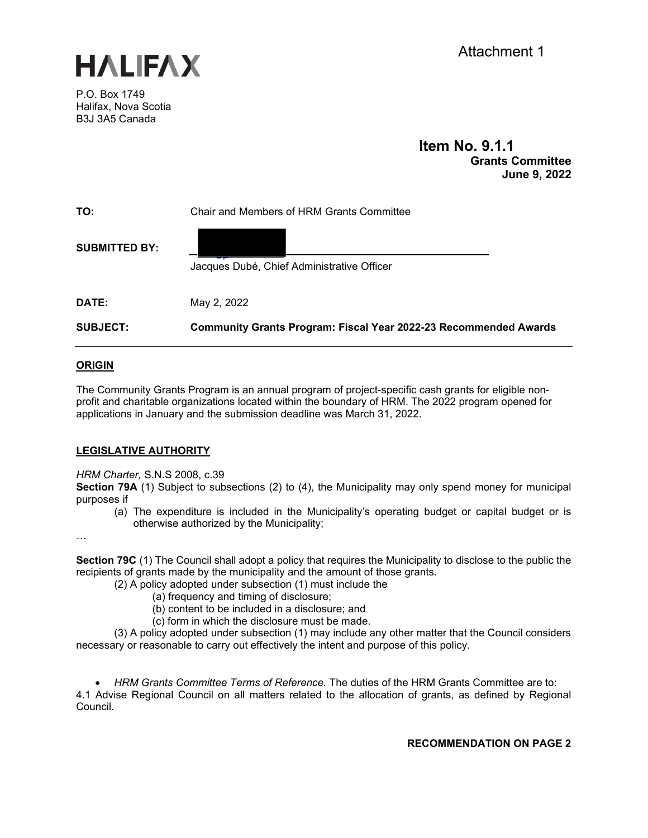

P.O. Box 1749 Halifax, Nova Scotia B3J 3A5 Canada

### **Item No. 9.1.1 Grants Committee June 9, 2022**

| TO:                  | Chair and Members of HRM Grants Committee                               |  |  |
|----------------------|-------------------------------------------------------------------------|--|--|
| <b>SUBMITTED BY:</b> | Jacques Dubé, Chief Administrative Officer                              |  |  |
| DATE:                | May 2, 2022                                                             |  |  |
| <b>SUBJECT:</b>      | <b>Community Grants Program: Fiscal Year 2022-23 Recommended Awards</b> |  |  |

#### **ORIGIN**

The Community Grants Program is an annual program of project-specific cash grants for eligible nonprofit and charitable organizations located within the boundary of HRM. The 2022 program opened for applications in January and the submission deadline was March 31, 2022.

#### **LEGISLATIVE AUTHORITY**

*HRM Charter,* S.N.S 2008, c.39

**Section 79A** (1) Subject to subsections (2) to (4), the Municipality may only spend money for municipal purposes if

(a) The expenditure is included in the Municipality's operating budget or capital budget or is otherwise authorized by the Municipality;

…

**Section 79C** (1) The Council shall adopt a policy that requires the Municipality to disclose to the public the recipients of grants made by the municipality and the amount of those grants.

- (2) A policy adopted under subsection (1) must include the
	- (a) frequency and timing of disclosure;
	- (b) content to be included in a disclosure; and
	- (c) form in which the disclosure must be made.

(3) A policy adopted under subsection (1) may include any other matter that the Council considers necessary or reasonable to carry out effectively the intent and purpose of this policy.

• *HRM Grants Committee Terms of Reference.* The duties of the HRM Grants Committee are to: 4.1 Advise Regional Council on all matters related to the allocation of grants, as defined by Regional Council.

**RECOMMENDATION ON PAGE 2**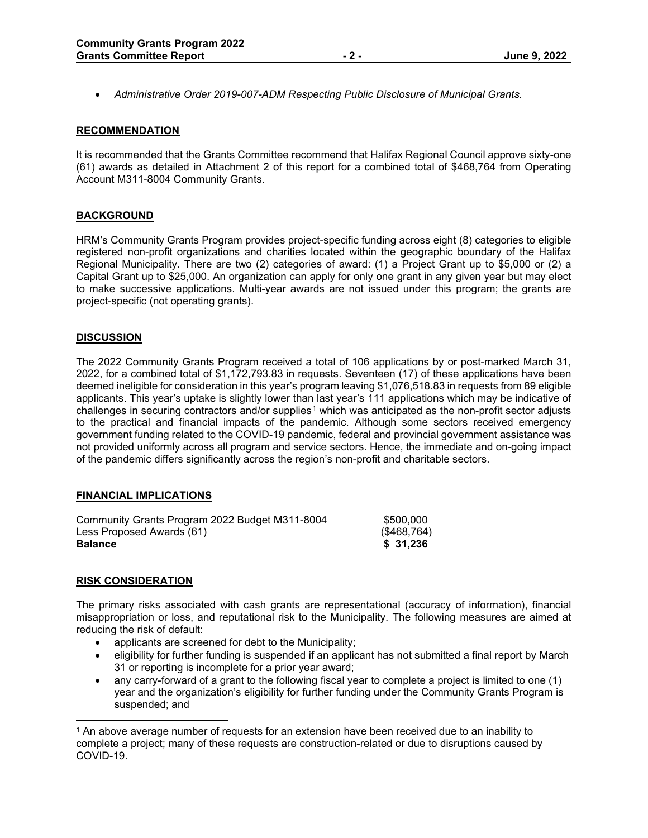• *Administrative Order 2019-007-ADM Respecting Public Disclosure of Municipal Grants.*

#### **RECOMMENDATION**

It is recommended that the Grants Committee recommend that Halifax Regional Council approve sixty-one (61) awards as detailed in Attachment 2 of this report for a combined total of \$468,764 from Operating Account M311-8004 Community Grants.

#### **BACKGROUND**

HRM's Community Grants Program provides project-specific funding across eight (8) categories to eligible registered non-profit organizations and charities located within the geographic boundary of the Halifax Regional Municipality. There are two (2) categories of award: (1) a Project Grant up to \$5,000 or (2) a Capital Grant up to \$25,000. An organization can apply for only one grant in any given year but may elect to make successive applications. Multi-year awards are not issued under this program; the grants are project-specific (not operating grants).

#### **DISCUSSION**

The 2022 Community Grants Program received a total of 106 applications by or post-marked March 31, 2022, for a combined total of \$1,172,793.83 in requests. Seventeen (17) of these applications have been deemed ineligible for consideration in this year's program leaving \$1,076,518.83 in requests from 89 eligible applicants. This year's uptake is slightly lower than last year's 111 applications which may be indicative of challenges in securing contractors and/or supplies<sup>[1](#page-4-0)</sup> which was anticipated as the non-profit sector adjusts to the practical and financial impacts of the pandemic. Although some sectors received emergency government funding related to the COVID-19 pandemic, federal and provincial government assistance was not provided uniformly across all program and service sectors. Hence, the immediate and on-going impact of the pandemic differs significantly across the region's non-profit and charitable sectors.

#### **FINANCIAL IMPLICATIONS**

| Community Grants Program 2022 Budget M311-8004 | \$500,000   |
|------------------------------------------------|-------------|
| Less Proposed Awards (61)                      | (\$468,764) |
| <b>Balance</b>                                 | \$ 31.236   |

#### **RISK CONSIDERATION**

The primary risks associated with cash grants are representational (accuracy of information), financial misappropriation or loss, and reputational risk to the Municipality. The following measures are aimed at reducing the risk of default:

- applicants are screened for debt to the Municipality;
- eligibility for further funding is suspended if an applicant has not submitted a final report by March 31 or reporting is incomplete for a prior year award;
- any carry-forward of a grant to the following fiscal year to complete a project is limited to one (1) year and the organization's eligibility for further funding under the Community Grants Program is suspended; and

<span id="page-4-0"></span><sup>1</sup> An above average number of requests for an extension have been received due to an inability to complete a project; many of these requests are construction-related or due to disruptions caused by COVID-19.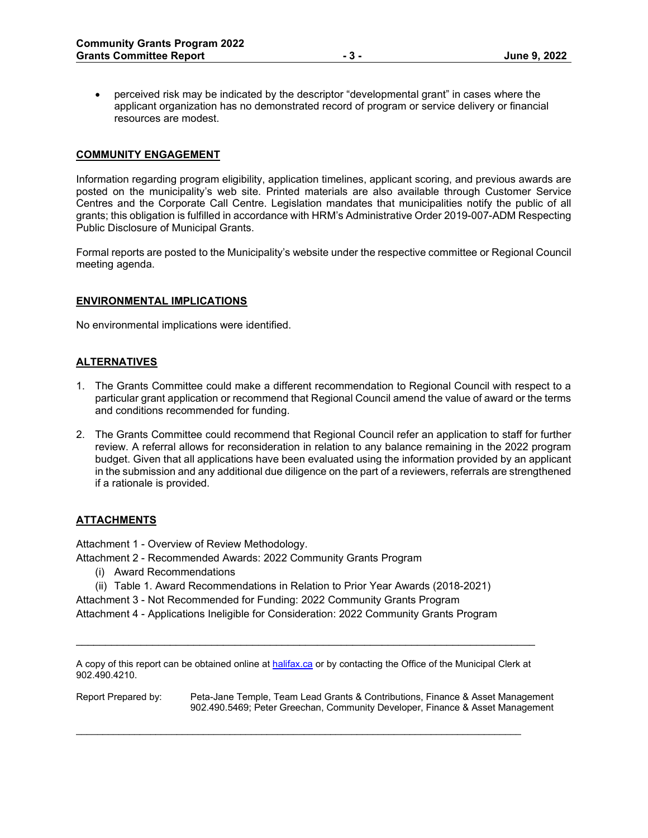• perceived risk may be indicated by the descriptor "developmental grant" in cases where the applicant organization has no demonstrated record of program or service delivery or financial resources are modest.

#### **COMMUNITY ENGAGEMENT**

Information regarding program eligibility, application timelines, applicant scoring, and previous awards are posted on the municipality's web site. Printed materials are also available through Customer Service Centres and the Corporate Call Centre. Legislation mandates that municipalities notify the public of all grants; this obligation is fulfilled in accordance with HRM's Administrative Order 2019-007-ADM Respecting Public Disclosure of Municipal Grants.

Formal reports are posted to the Municipality's website under the respective committee or Regional Council meeting agenda.

#### **ENVIRONMENTAL IMPLICATIONS**

No environmental implications were identified.

#### **ALTERNATIVES**

- 1. The Grants Committee could make a different recommendation to Regional Council with respect to a particular grant application or recommend that Regional Council amend the value of award or the terms and conditions recommended for funding.
- 2. The Grants Committee could recommend that Regional Council refer an application to staff for further review. A referral allows for reconsideration in relation to any balance remaining in the 2022 program budget. Given that all applications have been evaluated using the information provided by an applicant in the submission and any additional due diligence on the part of a reviewers, referrals are strengthened if a rationale is provided.

#### **ATTACHMENTS**

Attachment 1 - Overview of Review Methodology.

Attachment 2 - Recommended Awards: 2022 Community Grants Program

- (i) Award Recommendations
- (ii) Table 1. Award Recommendations in Relation to Prior Year Awards (2018-2021)

Attachment 3 - Not Recommended for Funding: 2022 Community Grants Program

Attachment 4 - Applications Ineligible for Consideration: 2022 Community Grants Program

 $\_$  ,  $\_$  ,  $\_$  ,  $\_$  ,  $\_$  ,  $\_$  ,  $\_$  ,  $\_$  ,  $\_$  ,  $\_$  ,  $\_$  ,  $\_$  ,  $\_$  ,  $\_$  ,  $\_$  ,  $\_$  ,  $\_$  ,  $\_$  ,  $\_$  ,  $\_$  ,  $\_$  ,  $\_$  ,  $\_$  ,  $\_$  ,  $\_$  ,  $\_$  ,  $\_$  ,  $\_$  ,  $\_$  ,  $\_$  ,  $\_$  ,  $\_$  ,  $\_$  ,  $\_$  ,  $\_$  ,  $\_$  ,  $\_$  ,

\_\_\_\_\_\_\_\_\_\_\_\_\_\_\_\_\_\_\_\_\_\_\_\_\_\_\_\_\_\_\_\_\_\_\_\_\_\_\_\_\_\_\_\_\_\_\_\_\_\_\_\_\_\_\_\_\_\_\_\_\_\_\_\_\_\_\_\_\_\_\_\_\_\_\_\_\_\_

Report Prepared by: Peta-Jane Temple, Team Lead Grants & Contributions, Finance & Asset Management 902.490.5469; Peter Greechan, Community Developer, Finance & Asset Management

A copy of this report can be obtained online a[t halifax.ca](http://www.halifax.ca/) or by contacting the Office of the Municipal Clerk at 902.490.4210.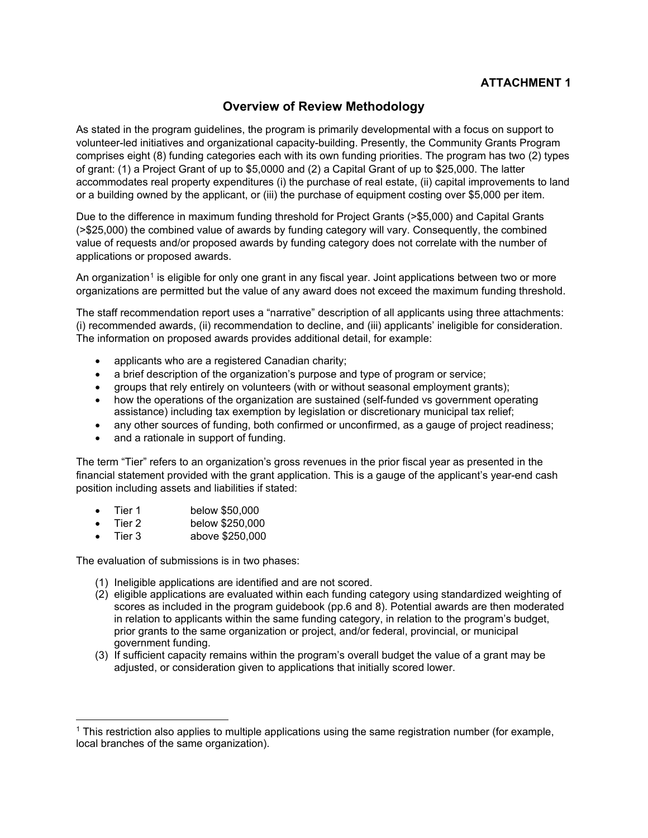# **Overview of Review Methodology**

As stated in the program guidelines, the program is primarily developmental with a focus on support to volunteer-led initiatives and organizational capacity-building. Presently, the Community Grants Program comprises eight (8) funding categories each with its own funding priorities. The program has two (2) types of grant: (1) a Project Grant of up to \$5,0000 and (2) a Capital Grant of up to \$25,000. The latter accommodates real property expenditures (i) the purchase of real estate, (ii) capital improvements to land or a building owned by the applicant, or (iii) the purchase of equipment costing over \$5,000 per item.

Due to the difference in maximum funding threshold for Project Grants (>\$5,000) and Capital Grants (>\$25,000) the combined value of awards by funding category will vary. Consequently, the combined value of requests and/or proposed awards by funding category does not correlate with the number of applications or proposed awards.

An organization<sup>[1](#page-6-0)</sup> is eligible for only one grant in any fiscal year. Joint applications between two or more organizations are permitted but the value of any award does not exceed the maximum funding threshold.

The staff recommendation report uses a "narrative" description of all applicants using three attachments: (i) recommended awards, (ii) recommendation to decline, and (iii) applicants' ineligible for consideration. The information on proposed awards provides additional detail, for example:

- applicants who are a registered Canadian charity;
- a brief description of the organization's purpose and type of program or service;
- groups that rely entirely on volunteers (with or without seasonal employment grants);
- how the operations of the organization are sustained (self-funded vs government operating assistance) including tax exemption by legislation or discretionary municipal tax relief;
- any other sources of funding, both confirmed or unconfirmed, as a gauge of project readiness;
- and a rationale in support of funding.

The term "Tier" refers to an organization's gross revenues in the prior fiscal year as presented in the financial statement provided with the grant application. This is a gauge of the applicant's year-end cash position including assets and liabilities if stated:

- Tier 1 below \$50,000
- Tier 2 below \$250,000
- Tier 3 above \$250,000

The evaluation of submissions is in two phases:

- (1) Ineligible applications are identified and are not scored.
- (2) eligible applications are evaluated within each funding category using standardized weighting of scores as included in the program guidebook (pp.6 and 8). Potential awards are then moderated in relation to applicants within the same funding category, in relation to the program's budget, prior grants to the same organization or project, and/or federal, provincial, or municipal government funding.
- (3) If sufficient capacity remains within the program's overall budget the value of a grant may be adjusted, or consideration given to applications that initially scored lower.

<span id="page-6-0"></span><sup>1</sup> This restriction also applies to multiple applications using the same registration number (for example, local branches of the same organization).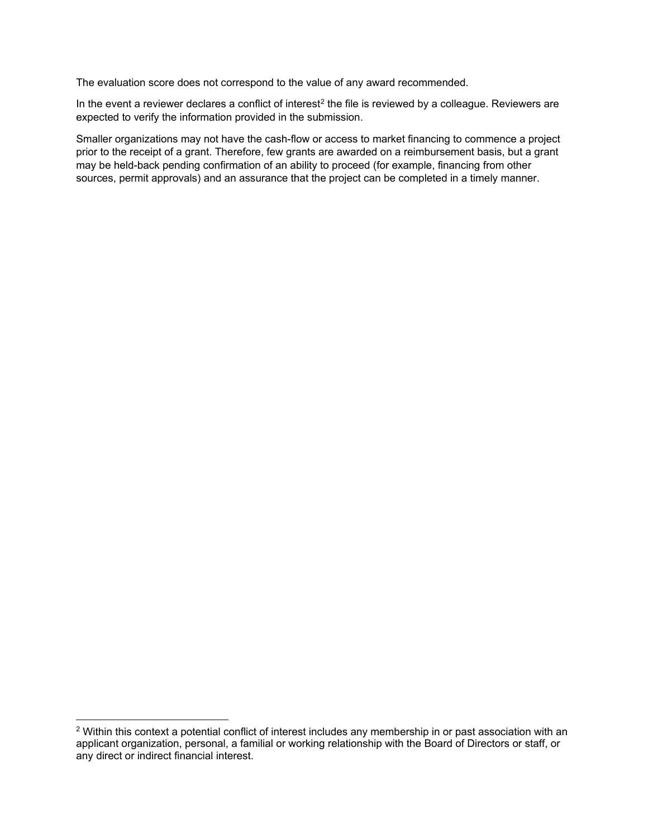The evaluation score does not correspond to the value of any award recommended.

In the event a reviewer declares a conflict of interest<sup>[2](#page-7-0)</sup> the file is reviewed by a colleague. Reviewers are expected to verify the information provided in the submission.

Smaller organizations may not have the cash-flow or access to market financing to commence a project prior to the receipt of a grant. Therefore, few grants are awarded on a reimbursement basis, but a grant may be held-back pending confirmation of an ability to proceed (for example, financing from other sources, permit approvals) and an assurance that the project can be completed in a timely manner.

<span id="page-7-0"></span><sup>&</sup>lt;sup>2</sup> Within this context a potential conflict of interest includes any membership in or past association with an applicant organization, personal, a familial or working relationship with the Board of Directors or staff, or any direct or indirect financial interest.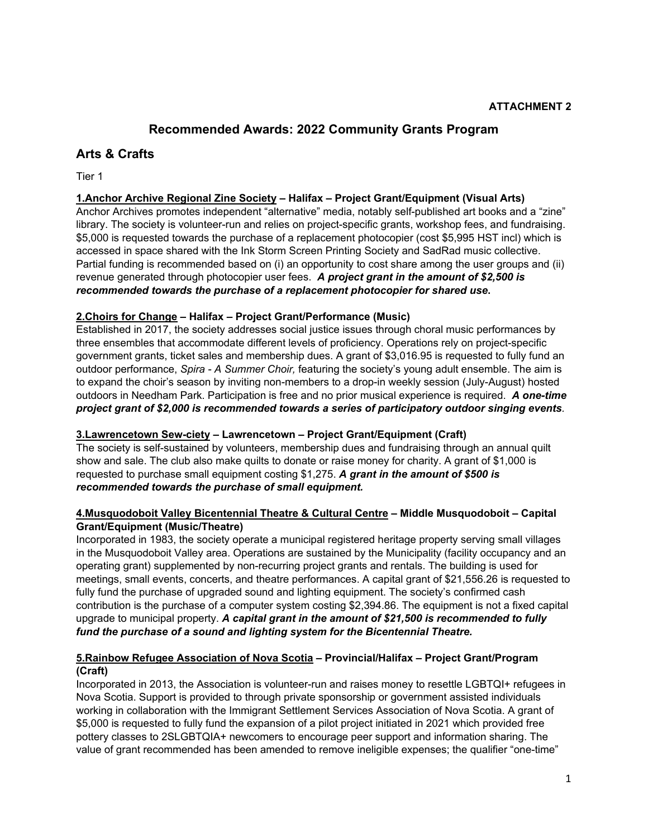# **Recommended Awards: 2022 Community Grants Program**

# **Arts & Crafts**

Tier 1

#### **1.Anchor Archive Regional Zine Society – Halifax – Project Grant/Equipment (Visual Arts)**

Anchor Archives promotes independent "alternative" media, notably self-published art books and a "zine" library. The society is volunteer-run and relies on project-specific grants, workshop fees, and fundraising. \$5,000 is requested towards the purchase of a replacement photocopier (cost \$5,995 HST incl) which is accessed in space shared with the Ink Storm Screen Printing Society and SadRad music collective. Partial funding is recommended based on (i) an opportunity to cost share among the user groups and (ii) revenue generated through photocopier user fees. *A project grant in the amount of \$2,500 is recommended towards the purchase of a replacement photocopier for shared use***.**

#### **2.Choirs for Change – Halifax – Project Grant/Performance (Music)**

Established in 2017, the society addresses social justice issues through choral music performances by three ensembles that accommodate different levels of proficiency. Operations rely on project-specific government grants, ticket sales and membership dues. A grant of \$3,016.95 is requested to fully fund an outdoor performance, *Spira - A Summer Choir,* featuring the society's young adult ensemble. The aim is to expand the choir's season by inviting non-members to a drop-in weekly session (July-August) hosted outdoors in Needham Park. Participation is free and no prior musical experience is required. *A one-time project grant of \$2,000 is recommended towards a series of participatory outdoor singing events.*

#### **3.Lawrencetown Sew-ciety – Lawrencetown – Project Grant/Equipment (Craft)**

The society is self-sustained by volunteers, membership dues and fundraising through an annual quilt show and sale. The club also make quilts to donate or raise money for charity. A grant of \$1,000 is requested to purchase small equipment costing \$1,275. *A grant in the amount of \$500 is recommended towards the purchase of small equipment.*

#### **4.Musquodoboit Valley Bicentennial Theatre & Cultural Centre – Middle Musquodoboit – Capital Grant/Equipment (Music/Theatre)**

Incorporated in 1983, the society operate a municipal registered heritage property serving small villages in the Musquodoboit Valley area. Operations are sustained by the Municipality (facility occupancy and an operating grant) supplemented by non-recurring project grants and rentals. The building is used for meetings, small events, concerts, and theatre performances. A capital grant of \$21,556.26 is requested to fully fund the purchase of upgraded sound and lighting equipment. The society's confirmed cash contribution is the purchase of a computer system costing \$2,394.86. The equipment is not a fixed capital upgrade to municipal property. *A capital grant in the amount of \$21,500 is recommended to fully fund the purchase of a sound and lighting system for the Bicentennial Theatre.*

#### **5.Rainbow Refugee Association of Nova Scotia – Provincial/Halifax – Project Grant/Program (Craft)**

Incorporated in 2013, the Association is volunteer-run and raises money to resettle LGBTQI+ refugees in Nova Scotia. Support is provided to through private sponsorship or government assisted individuals working in collaboration with the Immigrant Settlement Services Association of Nova Scotia. A grant of \$5,000 is requested to fully fund the expansion of a pilot project initiated in 2021 which provided free pottery classes to 2SLGBTQIA+ newcomers to encourage peer support and information sharing. The value of grant recommended has been amended to remove ineligible expenses; the qualifier "one-time"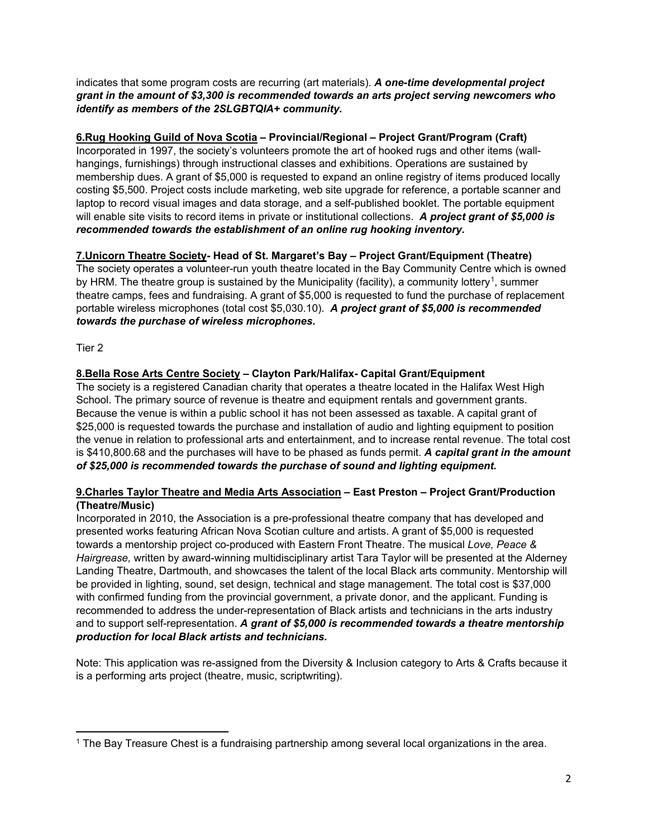indicates that some program costs are recurring (art materials). *A one-time developmental project grant in the amount of \$3,300 is recommended towards an arts project serving newcomers who identify as members of the 2SLGBTQIA+ community.*

# **6.Rug Hooking Guild of Nova Scotia – Provincial/Regional – Project Grant/Program (Craft)**

Incorporated in 1997, the society's volunteers promote the art of hooked rugs and other items (wallhangings, furnishings) through instructional classes and exhibitions. Operations are sustained by membership dues. A grant of \$5,000 is requested to expand an online registry of items produced locally costing \$5,500. Project costs include marketing, web site upgrade for reference, a portable scanner and laptop to record visual images and data storage, and a self-published booklet. The portable equipment will enable site visits to record items in private or institutional collections. *A project grant of \$5,000 is recommended towards the establishment of an online rug hooking inventory.*

### **7.Unicorn Theatre Society- Head of St. Margaret's Bay – Project Grant/Equipment (Theatre)**

The society operates a volunteer-run youth theatre located in the Bay Community Centre which is owned by HRM. The theatre group is sustained by the Municipality (facility), a community lottery<sup>[1](#page-9-0)</sup>, summer theatre camps, fees and fundraising. A grant of \$5,000 is requested to fund the purchase of replacement portable wireless microphones (total cost \$5,030.10). *A project grant of \$5,000 is recommended towards the purchase of wireless microphones.*

Tier 2

#### **8.Bella Rose Arts Centre Society – Clayton Park/Halifax- Capital Grant/Equipment**

The society is a registered Canadian charity that operates a theatre located in the Halifax West High School. The primary source of revenue is theatre and equipment rentals and government grants. Because the venue is within a public school it has not been assessed as taxable. A capital grant of \$25,000 is requested towards the purchase and installation of audio and lighting equipment to position the venue in relation to professional arts and entertainment, and to increase rental revenue. The total cost is \$410,800.68 and the purchases will have to be phased as funds permit. *A capital grant in the amount of \$25,000 is recommended towards the purchase of sound and lighting equipment.*

#### **9.Charles Taylor Theatre and Media Arts Association – East Preston – Project Grant/Production (Theatre/Music)**

Incorporated in 2010, the Association is a pre-professional theatre company that has developed and presented works featuring African Nova Scotian culture and artists. A grant of \$5,000 is requested towards a mentorship project co-produced with Eastern Front Theatre. The musical *Love, Peace & Hairgrease,* written by award-winning multidisciplinary artist Tara Taylor will be presented at the Alderney Landing Theatre, Dartmouth, and showcases the talent of the local Black arts community. Mentorship will be provided in lighting, sound, set design, technical and stage management. The total cost is \$37,000 with confirmed funding from the provincial government, a private donor, and the applicant. Funding is recommended to address the under-representation of Black artists and technicians in the arts industry and to support self-representation. *A grant of \$5,000 is recommended towards a theatre mentorship production for local Black artists and technicians.* 

Note: This application was re-assigned from the Diversity & Inclusion category to Arts & Crafts because it is a performing arts project (theatre, music, scriptwriting).

<span id="page-9-0"></span><sup>1</sup> The Bay Treasure Chest is a fundraising partnership among several local organizations in the area.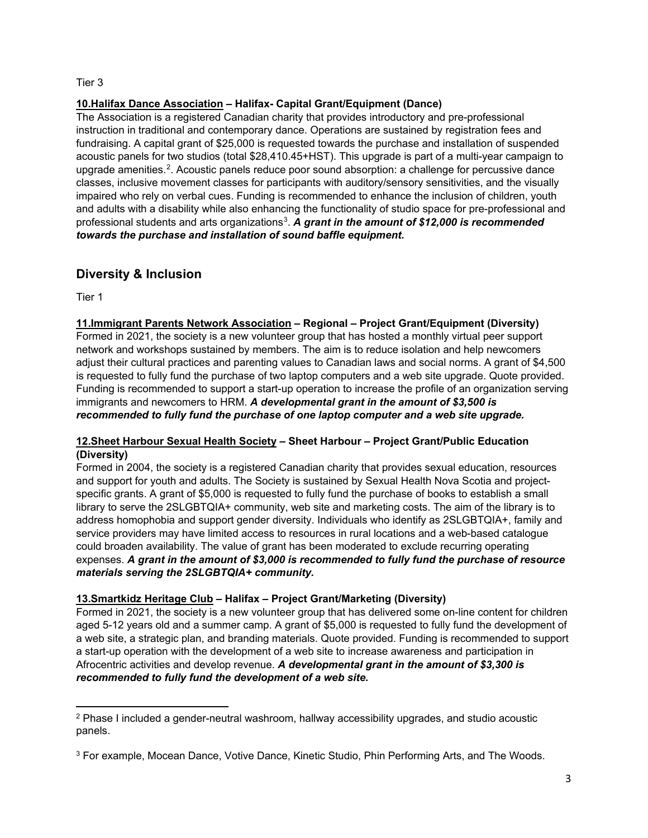#### Tier 3

# **10.Halifax Dance Association – Halifax- Capital Grant/Equipment (Dance)**

The Association is a registered Canadian charity that provides introductory and pre-professional instruction in traditional and contemporary dance. Operations are sustained by registration fees and fundraising. A capital grant of \$25,000 is requested towards the purchase and installation of suspended acoustic panels for two studios (total \$28,410.45+HST). This upgrade is part of a multi-year campaign to upgrade amenities.<sup>[2](#page-10-0)</sup>. Acoustic panels reduce poor sound absorption: a challenge for percussive dance classes, inclusive movement classes for participants with auditory/sensory sensitivities, and the visually impaired who rely on verbal cues. Funding is recommended to enhance the inclusion of children, youth and adults with a disability while also enhancing the functionality of studio space for pre-professional and professional students and arts organizations[3.](#page-10-1) *A grant in the amount of \$12,000 is recommended towards the purchase and installation of sound baffle equipment.*

# **Diversity & Inclusion**

Tier 1

#### **11.Immigrant Parents Network Association – Regional – Project Grant/Equipment (Diversity)**

Formed in 2021, the society is a new volunteer group that has hosted a monthly virtual peer support network and workshops sustained by members. The aim is to reduce isolation and help newcomers adjust their cultural practices and parenting values to Canadian laws and social norms. A grant of \$4,500 is requested to fully fund the purchase of two laptop computers and a web site upgrade. Quote provided. Funding is recommended to support a start-up operation to increase the profile of an organization serving immigrants and newcomers to HRM. *A developmental grant in the amount of \$3,500 is recommended to fully fund the purchase of one laptop computer and a web site upgrade.*

#### **12.Sheet Harbour Sexual Health Society – Sheet Harbour – Project Grant/Public Education (Diversity)**

Formed in 2004, the society is a registered Canadian charity that provides sexual education, resources and support for youth and adults. The Society is sustained by Sexual Health Nova Scotia and projectspecific grants. A grant of \$5,000 is requested to fully fund the purchase of books to establish a small library to serve the 2SLGBTQIA+ community, web site and marketing costs. The aim of the library is to address homophobia and support gender diversity. Individuals who identify as 2SLGBTQIA+, family and service providers may have limited access to resources in rural locations and a web-based catalogue could broaden availability. The value of grant has been moderated to exclude recurring operating expenses. *A grant in the amount of \$3,000 is recommended to fully fund the purchase of resource materials serving the 2SLGBTQIA+ community.*

### **13.Smartkidz Heritage Club – Halifax – Project Grant/Marketing (Diversity)**

Formed in 2021, the society is a new volunteer group that has delivered some on-line content for children aged 5-12 years old and a summer camp. A grant of \$5,000 is requested to fully fund the development of a web site, a strategic plan, and branding materials. Quote provided. Funding is recommended to support a start-up operation with the development of a web site to increase awareness and participation in Afrocentric activities and develop revenue. *A developmental grant in the amount of \$3,300 is recommended to fully fund the development of a web site.*

<span id="page-10-0"></span><sup>2</sup> Phase I included a gender-neutral washroom, hallway accessibility upgrades, and studio acoustic panels.

<span id="page-10-1"></span><sup>3</sup> For example, Mocean Dance, Votive Dance, Kinetic Studio, Phin Performing Arts, and The Woods.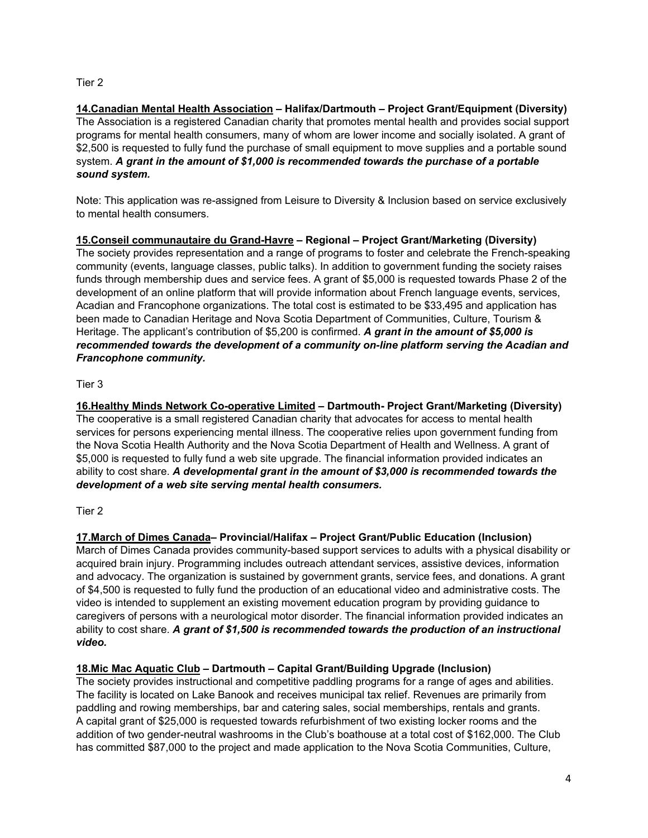#### Tier 2

**14.Canadian Mental Health Association – Halifax/Dartmouth – Project Grant/Equipment (Diversity)** The Association is a registered Canadian charity that promotes mental health and provides social support programs for mental health consumers, many of whom are lower income and socially isolated. A grant of \$2,500 is requested to fully fund the purchase of small equipment to move supplies and a portable sound system. *A grant in the amount of \$1,000 is recommended towards the purchase of a portable sound system.*

Note: This application was re-assigned from Leisure to Diversity & Inclusion based on service exclusively to mental health consumers.

**15.Conseil communautaire du Grand-Havre – Regional – Project Grant/Marketing (Diversity)** The society provides representation and a range of programs to foster and celebrate the French-speaking community (events, language classes, public talks). In addition to government funding the society raises funds through membership dues and service fees. A grant of \$5,000 is requested towards Phase 2 of the development of an online platform that will provide information about French language events, services, Acadian and Francophone organizations. The total cost is estimated to be \$33,495 and application has been made to Canadian Heritage and Nova Scotia Department of Communities, Culture, Tourism & Heritage. The applicant's contribution of \$5,200 is confirmed. *A grant in the amount of \$5,000 is recommended towards the development of a community on-line platform serving the Acadian and Francophone community.*

#### Tier 3

**16.Healthy Minds Network Co-operative Limited – Dartmouth- Project Grant/Marketing (Diversity)** The cooperative is a small registered Canadian charity that advocates for access to mental health services for persons experiencing mental illness. The cooperative relies upon government funding from the Nova Scotia Health Authority and the Nova Scotia Department of Health and Wellness. A grant of \$5,000 is requested to fully fund a web site upgrade. The financial information provided indicates an ability to cost share. *A developmental grant in the amount of \$3,000 is recommended towards the development of a web site serving mental health consumers.*

### Tier 2

**17.March of Dimes Canada– Provincial/Halifax – Project Grant/Public Education (Inclusion)**

March of Dimes Canada provides community-based support services to adults with a physical disability or acquired brain injury. Programming includes outreach attendant services, assistive devices, information and advocacy. The organization is sustained by government grants, service fees, and donations. A grant of \$4,500 is requested to fully fund the production of an educational video and administrative costs. The video is intended to supplement an existing movement education program by providing guidance to caregivers of persons with a neurological motor disorder. The financial information provided indicates an ability to cost share. *A grant of \$1,500 is recommended towards the production of an instructional video.*

### **18.Mic Mac Aquatic Club – Dartmouth – Capital Grant/Building Upgrade (Inclusion)**

The society provides instructional and competitive paddling programs for a range of ages and abilities. The facility is located on Lake Banook and receives municipal tax relief. Revenues are primarily from paddling and rowing memberships, bar and catering sales, social memberships, rentals and grants. A capital grant of \$25,000 is requested towards refurbishment of two existing locker rooms and the addition of two gender-neutral washrooms in the Club's boathouse at a total cost of \$162,000. The Club has committed \$87,000 to the project and made application to the Nova Scotia Communities, Culture,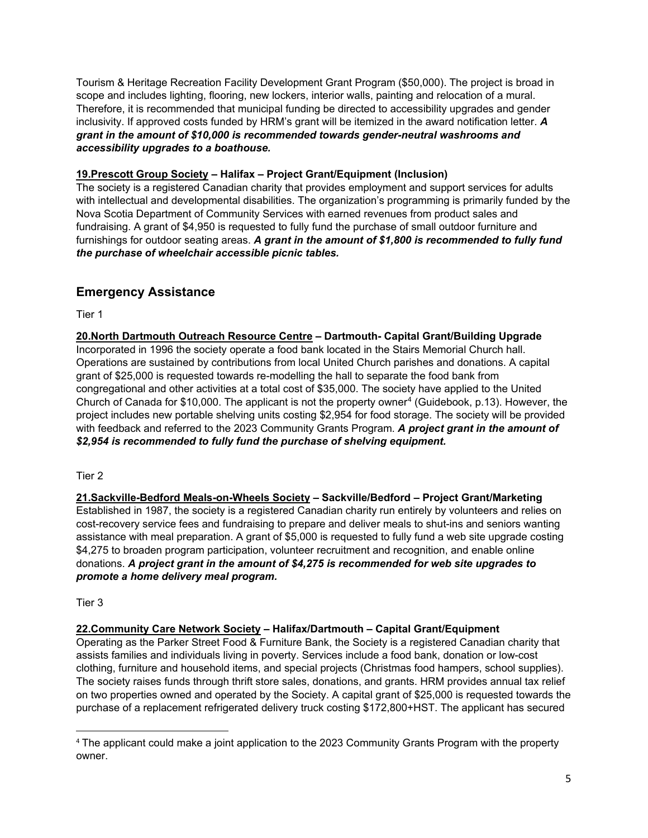Tourism & Heritage Recreation Facility Development Grant Program (\$50,000). The project is broad in scope and includes lighting, flooring, new lockers, interior walls, painting and relocation of a mural. Therefore, it is recommended that municipal funding be directed to accessibility upgrades and gender inclusivity. If approved costs funded by HRM's grant will be itemized in the award notification letter. *A grant in the amount of \$10,000 is recommended towards gender-neutral washrooms and accessibility upgrades to a boathouse.*

#### **19.Prescott Group Society – Halifax – Project Grant/Equipment (Inclusion)**

The society is a registered Canadian charity that provides employment and support services for adults with intellectual and developmental disabilities. The organization's programming is primarily funded by the Nova Scotia Department of Community Services with earned revenues from product sales and fundraising. A grant of \$4,950 is requested to fully fund the purchase of small outdoor furniture and furnishings for outdoor seating areas. *A grant in the amount of \$1,800 is recommended to fully fund the purchase of wheelchair accessible picnic tables.*

# **Emergency Assistance**

Tier 1

**20.North Dartmouth Outreach Resource Centre – Dartmouth- Capital Grant/Building Upgrade** Incorporated in 1996 the society operate a food bank located in the Stairs Memorial Church hall. Operations are sustained by contributions from local United Church parishes and donations. A capital grant of \$25,000 is requested towards re-modelling the hall to separate the food bank from congregational and other activities at a total cost of \$35,000. The society have applied to the United Church of Canada for \$10,000. The applicant is not the property owner<sup>[4](#page-12-0)</sup> (Guidebook, p.13). However, the project includes new portable shelving units costing \$2,954 for food storage. The society will be provided with feedback and referred to the 2023 Community Grants Program. *A project grant in the amount of \$2,954 is recommended to fully fund the purchase of shelving equipment.*

#### Tier 2

**21.Sackville-Bedford Meals-on-Wheels Society – Sackville/Bedford – Project Grant/Marketing** Established in 1987, the society is a registered Canadian charity run entirely by volunteers and relies on cost-recovery service fees and fundraising to prepare and deliver meals to shut-ins and seniors wanting assistance with meal preparation. A grant of \$5,000 is requested to fully fund a web site upgrade costing \$4,275 to broaden program participation, volunteer recruitment and recognition, and enable online donations. *A project grant in the amount of \$4,275 is recommended for web site upgrades to promote a home delivery meal program.*

Tier 3

### **22.Community Care Network Society – Halifax/Dartmouth – Capital Grant/Equipment**

Operating as the Parker Street Food & Furniture Bank, the Society is a registered Canadian charity that assists families and individuals living in poverty. Services include a food bank, donation or low-cost clothing, furniture and household items, and special projects (Christmas food hampers, school supplies). The society raises funds through thrift store sales, donations, and grants. HRM provides annual tax relief on two properties owned and operated by the Society. A capital grant of \$25,000 is requested towards the purchase of a replacement refrigerated delivery truck costing \$172,800+HST. The applicant has secured

<span id="page-12-0"></span><sup>4</sup> The applicant could make a joint application to the 2023 Community Grants Program with the property owner.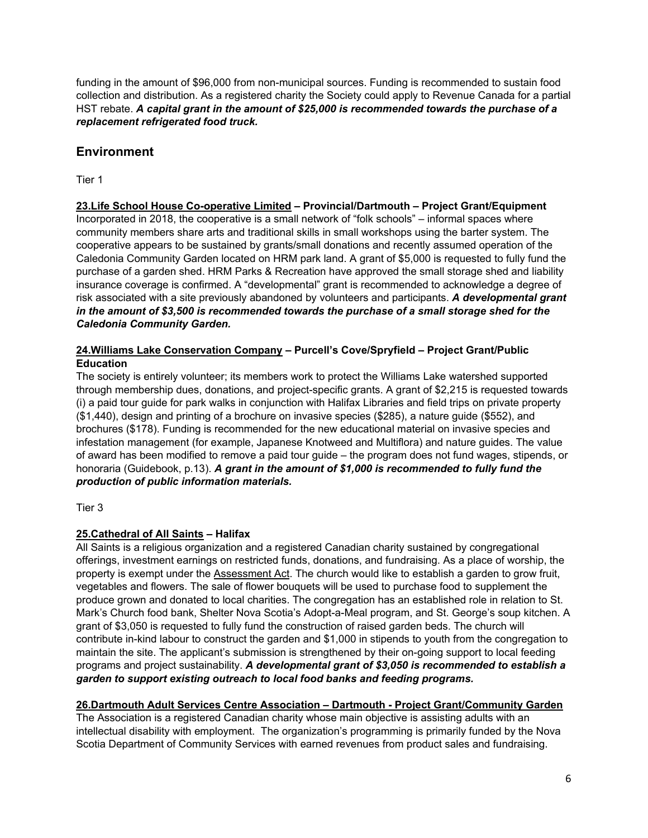funding in the amount of \$96,000 from non-municipal sources. Funding is recommended to sustain food collection and distribution. As a registered charity the Society could apply to Revenue Canada for a partial HST rebate. *A capital grant in the amount of \$25,000 is recommended towards the purchase of a replacement refrigerated food truck.*

# **Environment**

Tier 1

#### **23.Life School House Co-operative Limited – Provincial/Dartmouth – Project Grant/Equipment**

Incorporated in 2018, the cooperative is a small network of "folk schools" – informal spaces where community members share arts and traditional skills in small workshops using the barter system. The cooperative appears to be sustained by grants/small donations and recently assumed operation of the Caledonia Community Garden located on HRM park land. A grant of \$5,000 is requested to fully fund the purchase of a garden shed. HRM Parks & Recreation have approved the small storage shed and liability insurance coverage is confirmed. A "developmental" grant is recommended to acknowledge a degree of risk associated with a site previously abandoned by volunteers and participants. *A developmental grant in the amount of \$3,500 is recommended towards the purchase of a small storage shed for the Caledonia Community Garden.*

#### **24.Williams Lake Conservation Company – Purcell's Cove/Spryfield – Project Grant/Public Education**

The society is entirely volunteer; its members work to protect the Williams Lake watershed supported through membership dues, donations, and project-specific grants. A grant of \$2,215 is requested towards (i) a paid tour guide for park walks in conjunction with Halifax Libraries and field trips on private property (\$1,440), design and printing of a brochure on invasive species (\$285), a nature guide (\$552), and brochures (\$178). Funding is recommended for the new educational material on invasive species and infestation management (for example, Japanese Knotweed and Multiflora) and nature guides. The value of award has been modified to remove a paid tour guide – the program does not fund wages, stipends, or honoraria (Guidebook, p.13). *A grant in the amount of \$1,000 is recommended to fully fund the production of public information materials.*

Tier 3

### **25.Cathedral of All Saints – Halifax**

All Saints is a religious organization and a registered Canadian charity sustained by congregational offerings, investment earnings on restricted funds, donations, and fundraising. As a place of worship, the property is exempt under the Assessment Act. The church would like to establish a garden to grow fruit, vegetables and flowers. The sale of flower bouquets will be used to purchase food to supplement the produce grown and donated to local charities. The congregation has an established role in relation to St. Mark's Church food bank, Shelter Nova Scotia's Adopt-a-Meal program, and St. George's soup kitchen. A grant of \$3,050 is requested to fully fund the construction of raised garden beds. The church will contribute in-kind labour to construct the garden and \$1,000 in stipends to youth from the congregation to maintain the site. The applicant's submission is strengthened by their on-going support to local feeding programs and project sustainability. *A developmental grant of \$3,050 is recommended to establish a garden to support existing outreach to local food banks and feeding programs.*

### **26.Dartmouth Adult Services Centre Association – Dartmouth - Project Grant/Community Garden**

The Association is a registered Canadian charity whose main objective is assisting adults with an intellectual disability with employment. The organization's programming is primarily funded by the Nova Scotia Department of Community Services with earned revenues from product sales and fundraising.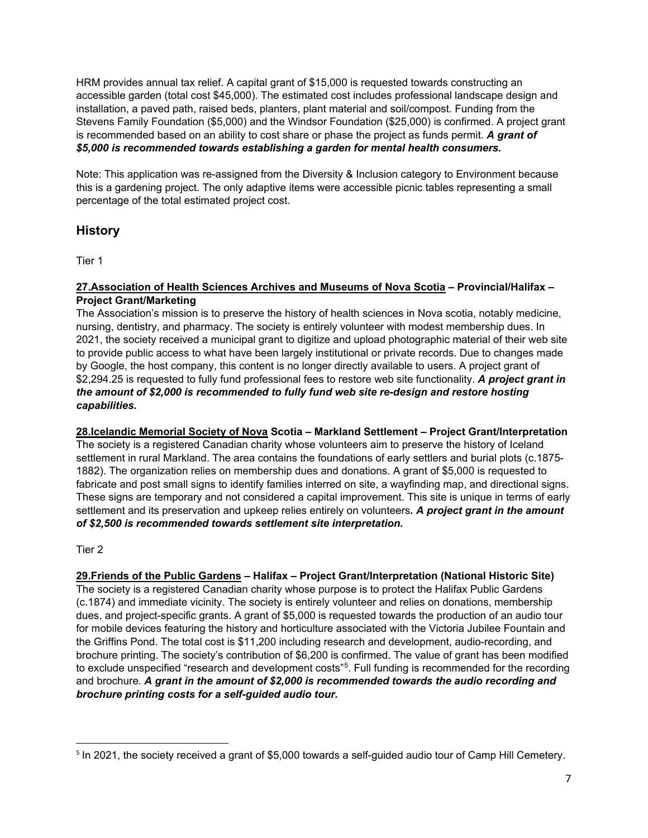HRM provides annual tax relief. A capital grant of \$15,000 is requested towards constructing an accessible garden (total cost \$45,000). The estimated cost includes professional landscape design and installation, a paved path, raised beds, planters, plant material and soil/compost. Funding from the Stevens Family Foundation (\$5,000) and the Windsor Foundation (\$25,000) is confirmed. A project grant is recommended based on an ability to cost share or phase the project as funds permit. *A grant of \$5,000 is recommended towards establishing a garden for mental health consumers.*

Note: This application was re-assigned from the Diversity & Inclusion category to Environment because this is a gardening project. The only adaptive items were accessible picnic tables representing a small percentage of the total estimated project cost.

# **History**

Tier 1

#### **27.Association of Health Sciences Archives and Museums of Nova Scotia – Provincial/Halifax – Project Grant/Marketing**

The Association's mission is to preserve the history of health sciences in Nova scotia, notably medicine, nursing, dentistry, and pharmacy. The society is entirely volunteer with modest membership dues. In 2021, the society received a municipal grant to digitize and upload photographic material of their web site to provide public access to what have been largely institutional or private records. Due to changes made by Google, the host company, this content is no longer directly available to users. A project grant of \$2,294.25 is requested to fully fund professional fees to restore web site functionality. *A project grant in the amount of \$2,000 is recommended to fully fund web site re-design and restore hosting capabilities.*

**28.Icelandic Memorial Society of Nova Scotia – Markland Settlement – Project Grant/Interpretation** The society is a registered Canadian charity whose volunteers aim to preserve the history of Iceland settlement in rural Markland. The area contains the foundations of early settlers and burial plots (c.1875- 1882). The organization relies on membership dues and donations. A grant of \$5,000 is requested to fabricate and post small signs to identify families interred on site, a wayfinding map, and directional signs. These signs are temporary and not considered a capital improvement. This site is unique in terms of early settlement and its preservation and upkeep relies entirely on volunteers*. A project grant in the amount of \$2,500 is recommended towards settlement site interpretation.*

### Tier 2

**29.Friends of the Public Gardens – Halifax – Project Grant/Interpretation (National Historic Site)** The society is a registered Canadian charity whose purpose is to protect the Halifax Public Gardens (c.1874) and immediate vicinity. The society is entirely volunteer and relies on donations, membership dues, and project-specific grants. A grant of \$5,000 is requested towards the production of an audio tour for mobile devices featuring the history and horticulture associated with the Victoria Jubilee Fountain and the Griffins Pond. The total cost is \$11,200 including research and development, audio-recording, and brochure printing. The society's contribution of \$6,200 is confirmed. The value of grant has been modified to exclude unspecified "research and development costs"<sup>5</sup>. Full funding is recommended for the recording and brochure. *A grant in the amount of \$2,000 is recommended towards the audio recording and brochure printing costs for a self-guided audio tour.*

<span id="page-14-0"></span><sup>&</sup>lt;sup>5</sup> In 2021, the society received a grant of \$5,000 towards a self-guided audio tour of Camp Hill Cemetery.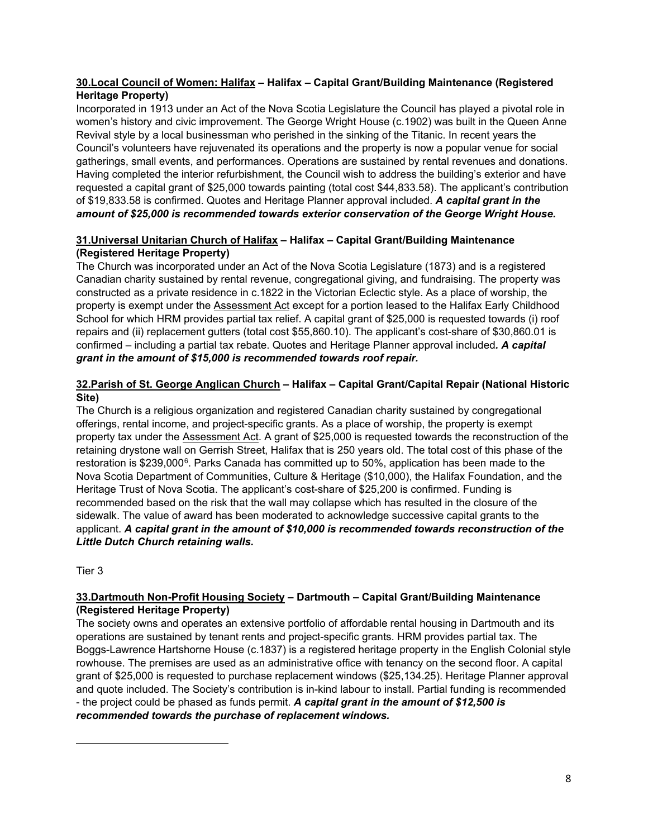#### **30.Local Council of Women: Halifax – Halifax – Capital Grant/Building Maintenance (Registered Heritage Property)**

Incorporated in 1913 under an Act of the Nova Scotia Legislature the Council has played a pivotal role in women's history and civic improvement. The George Wright House (c.1902) was built in the Queen Anne Revival style by a local businessman who perished in the sinking of the Titanic. In recent years the Council's volunteers have rejuvenated its operations and the property is now a popular venue for social gatherings, small events, and performances. Operations are sustained by rental revenues and donations. Having completed the interior refurbishment, the Council wish to address the building's exterior and have requested a capital grant of \$25,000 towards painting (total cost \$44,833.58). The applicant's contribution of \$19,833.58 is confirmed. Quotes and Heritage Planner approval included. *A capital grant in the amount of \$25,000 is recommended towards exterior conservation of the George Wright House.*

### **31.Universal Unitarian Church of Halifax – Halifax – Capital Grant/Building Maintenance (Registered Heritage Property)**

The Church was incorporated under an Act of the Nova Scotia Legislature (1873) and is a registered Canadian charity sustained by rental revenue, congregational giving, and fundraising. The property was constructed as a private residence in c.1822 in the Victorian Eclectic style. As a place of worship, the property is exempt under the Assessment Act except for a portion leased to the Halifax Early Childhood School for which HRM provides partial tax relief. A capital grant of \$25,000 is requested towards (i) roof repairs and (ii) replacement gutters (total cost \$55,860.10). The applicant's cost-share of \$30,860.01 is confirmed – including a partial tax rebate. Quotes and Heritage Planner approval included*. A capital grant in the amount of \$15,000 is recommended towards roof repair.*

# **32.Parish of St. George Anglican Church – Halifax – Capital Grant/Capital Repair (National Historic Site)**

The Church is a religious organization and registered Canadian charity sustained by congregational offerings, rental income, and project-specific grants. As a place of worship, the property is exempt property tax under the **Assessment Act.** A grant of \$25,000 is requested towards the reconstruction of the retaining drystone wall on Gerrish Street, Halifax that is 250 years old. The total cost of this phase of the restoration is \$239,000[6.](#page-15-0) Parks Canada has committed up to 50%, application has been made to the Nova Scotia Department of Communities, Culture & Heritage (\$10,000), the Halifax Foundation, and the Heritage Trust of Nova Scotia. The applicant's cost-share of \$25,200 is confirmed. Funding is recommended based on the risk that the wall may collapse which has resulted in the closure of the sidewalk. The value of award has been moderated to acknowledge successive capital grants to the applicant. *A capital grant in the amount of \$10,000 is recommended towards reconstruction of the Little Dutch Church retaining walls.*

Tier 3

### **33.Dartmouth Non-Profit Housing Society – Dartmouth – Capital Grant/Building Maintenance (Registered Heritage Property)**

<span id="page-15-0"></span>The society owns and operates an extensive portfolio of affordable rental housing in Dartmouth and its operations are sustained by tenant rents and project-specific grants. HRM provides partial tax. The Boggs-Lawrence Hartshorne House (c.1837) is a registered heritage property in the English Colonial style rowhouse. The premises are used as an administrative office with tenancy on the second floor. A capital grant of \$25,000 is requested to purchase replacement windows (\$25,134.25). Heritage Planner approval and quote included. The Society's contribution is in-kind labour to install. Partial funding is recommended - the project could be phased as funds permit. *A capital grant in the amount of \$12,500 is recommended towards the purchase of replacement windows.*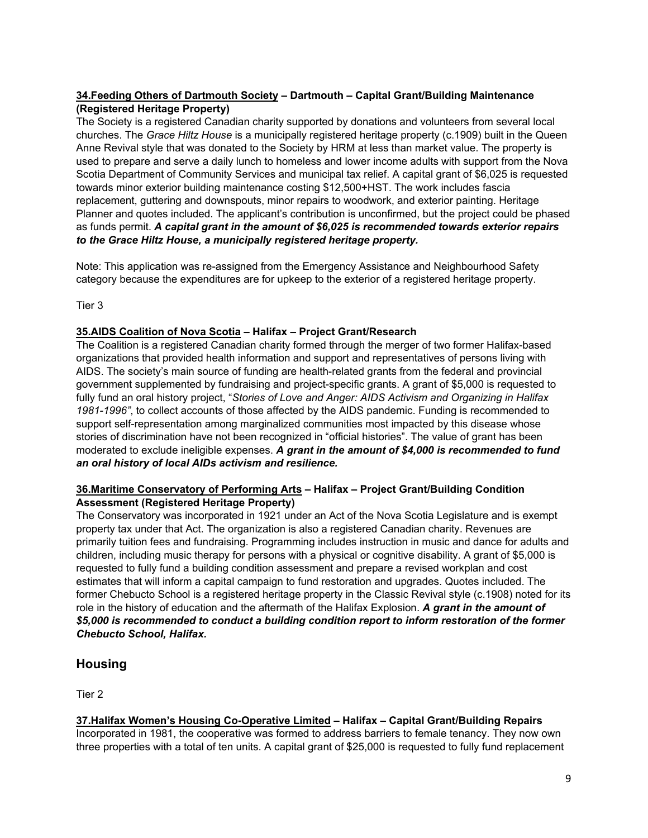#### **34.Feeding Others of Dartmouth Society – Dartmouth – Capital Grant/Building Maintenance (Registered Heritage Property)**

The Society is a registered Canadian charity supported by donations and volunteers from several local churches. The *Grace Hiltz House* is a municipally registered heritage property (c.1909) built in the Queen Anne Revival style that was donated to the Society by HRM at less than market value. The property is used to prepare and serve a daily lunch to homeless and lower income adults with support from the Nova Scotia Department of Community Services and municipal tax relief. A capital grant of \$6,025 is requested towards minor exterior building maintenance costing \$12,500+HST. The work includes fascia replacement, guttering and downspouts, minor repairs to woodwork, and exterior painting. Heritage Planner and quotes included. The applicant's contribution is unconfirmed, but the project could be phased as funds permit. *A capital grant in the amount of \$6,025 is recommended towards exterior repairs to the Grace Hiltz House, a municipally registered heritage property.*

Note: This application was re-assigned from the Emergency Assistance and Neighbourhood Safety category because the expenditures are for upkeep to the exterior of a registered heritage property.

Tier 3

#### **35.AIDS Coalition of Nova Scotia – Halifax – Project Grant/Research**

The Coalition is a registered Canadian charity formed through the merger of two former Halifax-based organizations that provided health information and support and representatives of persons living with AIDS. The society's main source of funding are health-related grants from the federal and provincial government supplemented by fundraising and project-specific grants. A grant of \$5,000 is requested to fully fund an oral history project, "*Stories of Love and Anger: AIDS Activism and Organizing in Halifax 1981-1996"*, to collect accounts of those affected by the AIDS pandemic. Funding is recommended to support self-representation among marginalized communities most impacted by this disease whose stories of discrimination have not been recognized in "official histories". The value of grant has been moderated to exclude ineligible expenses. *A grant in the amount of \$4,000 is recommended to fund an oral history of local AIDs activism and resilience.*

#### **36.Maritime Conservatory of Performing Arts – Halifax – Project Grant/Building Condition Assessment (Registered Heritage Property)**

The Conservatory was incorporated in 1921 under an Act of the Nova Scotia Legislature and is exempt property tax under that Act. The organization is also a registered Canadian charity. Revenues are primarily tuition fees and fundraising. Programming includes instruction in music and dance for adults and children, including music therapy for persons with a physical or cognitive disability. A grant of \$5,000 is requested to fully fund a building condition assessment and prepare a revised workplan and cost estimates that will inform a capital campaign to fund restoration and upgrades. Quotes included. The former Chebucto School is a registered heritage property in the Classic Revival style (c.1908) noted for its role in the history of education and the aftermath of the Halifax Explosion. *A grant in the amount of \$5,000 is recommended to conduct a building condition report to inform restoration of the former Chebucto School, Halifax.*

# **Housing**

Tier 2

### **37.Halifax Women's Housing Co-Operative Limited – Halifax – Capital Grant/Building Repairs**

Incorporated in 1981, the cooperative was formed to address barriers to female tenancy. They now own three properties with a total of ten units. A capital grant of \$25,000 is requested to fully fund replacement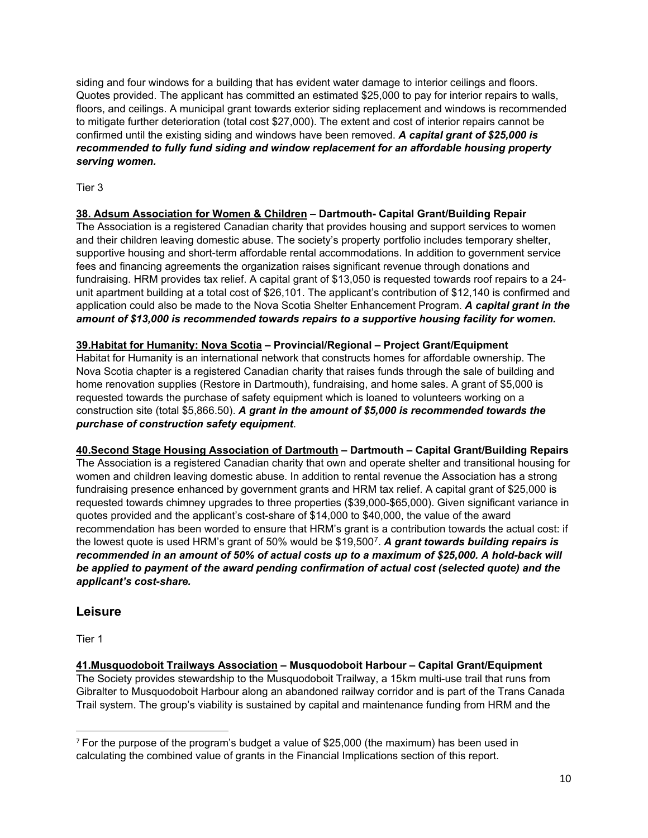siding and four windows for a building that has evident water damage to interior ceilings and floors. Quotes provided. The applicant has committed an estimated \$25,000 to pay for interior repairs to walls, floors, and ceilings. A municipal grant towards exterior siding replacement and windows is recommended to mitigate further deterioration (total cost \$27,000). The extent and cost of interior repairs cannot be confirmed until the existing siding and windows have been removed. *A capital grant of \$25,000 is recommended to fully fund siding and window replacement for an affordable housing property serving women.*

Tier 3

### **38. Adsum Association for Women & Children – Dartmouth- Capital Grant/Building Repair**

The Association is a registered Canadian charity that provides housing and support services to women and their children leaving domestic abuse. The society's property portfolio includes temporary shelter, supportive housing and short-term affordable rental accommodations. In addition to government service fees and financing agreements the organization raises significant revenue through donations and fundraising. HRM provides tax relief. A capital grant of \$13,050 is requested towards roof repairs to a 24 unit apartment building at a total cost of \$26,101. The applicant's contribution of \$12,140 is confirmed and application could also be made to the Nova Scotia Shelter Enhancement Program. *A capital grant in the amount of \$13,000 is recommended towards repairs to a supportive housing facility for women.*

**39.Habitat for Humanity: Nova Scotia – Provincial/Regional – Project Grant/Equipment** Habitat for Humanity is an international network that constructs homes for affordable ownership. The Nova Scotia chapter is a registered Canadian charity that raises funds through the sale of building and home renovation supplies (Restore in Dartmouth), fundraising, and home sales. A grant of \$5,000 is requested towards the purchase of safety equipment which is loaned to volunteers working on a construction site (total \$5,866.50). *A grant in the amount of \$5,000 is recommended towards the purchase of construction safety equipment*.

**40.Second Stage Housing Association of Dartmouth – Dartmouth – Capital Grant/Building Repairs** The Association is a registered Canadian charity that own and operate shelter and transitional housing for women and children leaving domestic abuse. In addition to rental revenue the Association has a strong fundraising presence enhanced by government grants and HRM tax relief. A capital grant of \$25,000 is requested towards chimney upgrades to three properties (\$39,000-\$65,000). Given significant variance in quotes provided and the applicant's cost-share of \$14,000 to \$40,000, the value of the award recommendation has been worded to ensure that HRM's grant is a contribution towards the actual cost: if the lowest quote is used HRM's grant of 50% would be \$19,500[7](#page-17-0). *A grant towards building repairs is recommended in an amount of 50% of actual costs up to a maximum of \$25,000. A hold-back will be applied to payment of the award pending confirmation of actual cost (selected quote) and the applicant's cost-share.*

# **Leisure**

Tier 1

**41.Musquodoboit Trailways Association – Musquodoboit Harbour – Capital Grant/Equipment** The Society provides stewardship to the Musquodoboit Trailway, a 15km multi-use trail that runs from Gibralter to Musquodoboit Harbour along an abandoned railway corridor and is part of the Trans Canada Trail system. The group's viability is sustained by capital and maintenance funding from HRM and the

<span id="page-17-0"></span> $7$  For the purpose of the program's budget a value of \$25,000 (the maximum) has been used in calculating the combined value of grants in the Financial Implications section of this report.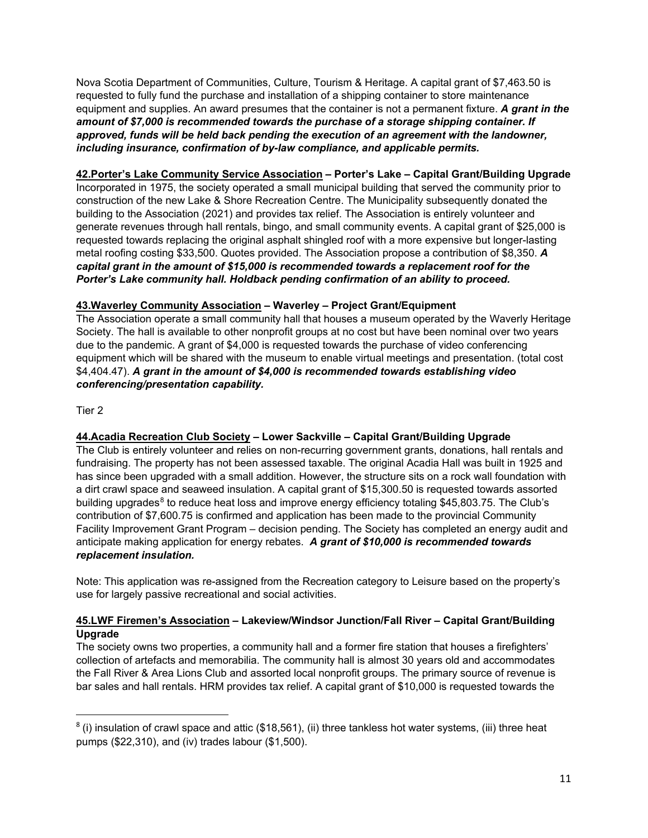Nova Scotia Department of Communities, Culture, Tourism & Heritage. A capital grant of \$7,463.50 is requested to fully fund the purchase and installation of a shipping container to store maintenance equipment and supplies. An award presumes that the container is not a permanent fixture. *A grant in the amount of \$7,000 is recommended towards the purchase of a storage shipping container. If approved, funds will be held back pending the execution of an agreement with the landowner, including insurance, confirmation of by-law compliance, and applicable permits.*

#### **42.Porter's Lake Community Service Association – Porter's Lake – Capital Grant/Building Upgrade**

Incorporated in 1975, the society operated a small municipal building that served the community prior to construction of the new Lake & Shore Recreation Centre. The Municipality subsequently donated the building to the Association (2021) and provides tax relief. The Association is entirely volunteer and generate revenues through hall rentals, bingo, and small community events. A capital grant of \$25,000 is requested towards replacing the original asphalt shingled roof with a more expensive but longer-lasting metal roofing costing \$33,500. Quotes provided. The Association propose a contribution of \$8,350. *A capital grant in the amount of \$15,000 is recommended towards a replacement roof for the Porter's Lake community hall. Holdback pending confirmation of an ability to proceed.*

#### **43.Waverley Community Association – Waverley – Project Grant/Equipment**

The Association operate a small community hall that houses a museum operated by the Waverly Heritage Society. The hall is available to other nonprofit groups at no cost but have been nominal over two years due to the pandemic. A grant of \$4,000 is requested towards the purchase of video conferencing equipment which will be shared with the museum to enable virtual meetings and presentation. (total cost \$4,404.47). *A grant in the amount of \$4,000 is recommended towards establishing video conferencing/presentation capability.*

Tier 2

### **44.Acadia Recreation Club Society – Lower Sackville – Capital Grant/Building Upgrade**

The Club is entirely volunteer and relies on non-recurring government grants, donations, hall rentals and fundraising. The property has not been assessed taxable. The original Acadia Hall was built in 1925 and has since been upgraded with a small addition. However, the structure sits on a rock wall foundation with a dirt crawl space and seaweed insulation. A capital grant of \$15,300.50 is requested towards assorted building upgrades<sup>[8](#page-18-0)</sup> to reduce heat loss and improve energy efficiency totaling \$45,803.75. The Club's contribution of \$7,600.75 is confirmed and application has been made to the provincial Community Facility Improvement Grant Program – decision pending. The Society has completed an energy audit and anticipate making application for energy rebates. *A grant of \$10,000 is recommended towards replacement insulation.*

Note: This application was re-assigned from the Recreation category to Leisure based on the property's use for largely passive recreational and social activities.

#### **45.LWF Firemen's Association – Lakeview/Windsor Junction/Fall River – Capital Grant/Building Upgrade**

The society owns two properties, a community hall and a former fire station that houses a firefighters' collection of artefacts and memorabilia. The community hall is almost 30 years old and accommodates the Fall River & Area Lions Club and assorted local nonprofit groups. The primary source of revenue is bar sales and hall rentals. HRM provides tax relief. A capital grant of \$10,000 is requested towards the

<span id="page-18-0"></span> $8$  (i) insulation of crawl space and attic (\$18,561), (ii) three tankless hot water systems, (iii) three heat pumps (\$22,310), and (iv) trades labour (\$1,500).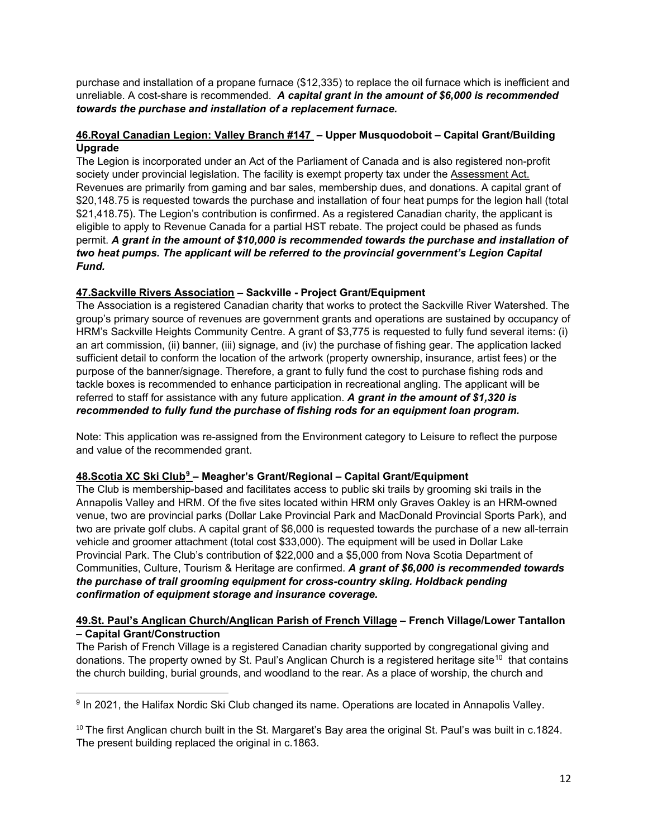purchase and installation of a propane furnace (\$12,335) to replace the oil furnace which is inefficient and unreliable. A cost-share is recommended. *A capital grant in the amount of \$6,000 is recommended towards the purchase and installation of a replacement furnace.*

#### **46.Royal Canadian Legion: Valley Branch #147 – Upper Musquodoboit – Capital Grant/Building Upgrade**

The Legion is incorporated under an Act of the Parliament of Canada and is also registered non-profit society under provincial legislation. The facility is exempt property tax under the Assessment Act. Revenues are primarily from gaming and bar sales, membership dues, and donations. A capital grant of \$20,148.75 is requested towards the purchase and installation of four heat pumps for the legion hall (total \$21,418.75). The Legion's contribution is confirmed. As a registered Canadian charity, the applicant is eligible to apply to Revenue Canada for a partial HST rebate. The project could be phased as funds permit. *A grant in the amount of \$10,000 is recommended towards the purchase and installation of two heat pumps. The applicant will be referred to the provincial government's Legion Capital Fund.*

#### **47.Sackville Rivers Association – Sackville - Project Grant/Equipment**

The Association is a registered Canadian charity that works to protect the Sackville River Watershed. The group's primary source of revenues are government grants and operations are sustained by occupancy of HRM's Sackville Heights Community Centre. A grant of \$3,775 is requested to fully fund several items: (i) an art commission, (ii) banner, (iii) signage, and (iv) the purchase of fishing gear. The application lacked sufficient detail to conform the location of the artwork (property ownership, insurance, artist fees) or the purpose of the banner/signage. Therefore, a grant to fully fund the cost to purchase fishing rods and tackle boxes is recommended to enhance participation in recreational angling. The applicant will be referred to staff for assistance with any future application. *A grant in the amount of \$1,320 is recommended to fully fund the purchase of fishing rods for an equipment loan program.*

Note: This application was re-assigned from the Environment category to Leisure to reflect the purpose and value of the recommended grant.

### **48.Scotia XC Ski Club[9](#page-19-0) – Meagher's Grant/Regional – Capital Grant/Equipment**

The Club is membership-based and facilitates access to public ski trails by grooming ski trails in the Annapolis Valley and HRM. Of the five sites located within HRM only Graves Oakley is an HRM-owned venue, two are provincial parks (Dollar Lake Provincial Park and MacDonald Provincial Sports Park), and two are private golf clubs. A capital grant of \$6,000 is requested towards the purchase of a new all-terrain vehicle and groomer attachment (total cost \$33,000). The equipment will be used in Dollar Lake Provincial Park. The Club's contribution of \$22,000 and a \$5,000 from Nova Scotia Department of Communities, Culture, Tourism & Heritage are confirmed. *A grant of \$6,000 is recommended towards the purchase of trail grooming equipment for cross-country skiing. Holdback pending confirmation of equipment storage and insurance coverage.*

#### **49.St. Paul's Anglican Church/Anglican Parish of French Village – French Village/Lower Tantallon – Capital Grant/Construction**

The Parish of French Village is a registered Canadian charity supported by congregational giving and donations. The property owned by St. Paul's Anglican Church is a registered heritage site<sup>[10](#page-19-1)</sup> that contains the church building, burial grounds, and woodland to the rear. As a place of worship, the church and

<span id="page-19-0"></span><sup>9</sup> In 2021, the Halifax Nordic Ski Club changed its name. Operations are located in Annapolis Valley.

<span id="page-19-1"></span><sup>&</sup>lt;sup>10</sup> The first Anglican church built in the St. Margaret's Bay area the original St. Paul's was built in c.1824. The present building replaced the original in c.1863.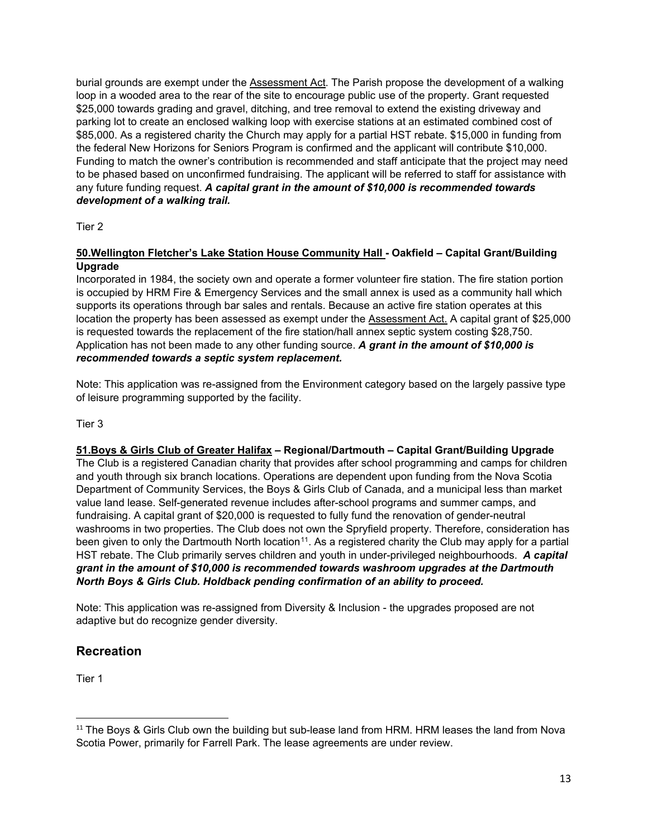burial grounds are exempt under the Assessment Act. The Parish propose the development of a walking loop in a wooded area to the rear of the site to encourage public use of the property. Grant requested \$25,000 towards grading and gravel, ditching, and tree removal to extend the existing driveway and parking lot to create an enclosed walking loop with exercise stations at an estimated combined cost of \$85,000. As a registered charity the Church may apply for a partial HST rebate. \$15,000 in funding from the federal New Horizons for Seniors Program is confirmed and the applicant will contribute \$10,000. Funding to match the owner's contribution is recommended and staff anticipate that the project may need to be phased based on unconfirmed fundraising. The applicant will be referred to staff for assistance with any future funding request. *A capital grant in the amount of \$10,000 is recommended towards development of a walking trail.* 

Tier 2

#### **50.Wellington Fletcher's Lake Station House Community Hall - Oakfield – Capital Grant/Building Upgrade**

Incorporated in 1984, the society own and operate a former volunteer fire station. The fire station portion is occupied by HRM Fire & Emergency Services and the small annex is used as a community hall which supports its operations through bar sales and rentals. Because an active fire station operates at this location the property has been assessed as exempt under the Assessment Act. A capital grant of \$25,000 is requested towards the replacement of the fire station/hall annex septic system costing \$28,750. Application has not been made to any other funding source. *A grant in the amount of \$10,000 is recommended towards a septic system replacement.*

Note: This application was re-assigned from the Environment category based on the largely passive type of leisure programming supported by the facility.

Tier 3

### **51.Boys & Girls Club of Greater Halifax – Regional/Dartmouth – Capital Grant/Building Upgrade**

The Club is a registered Canadian charity that provides after school programming and camps for children and youth through six branch locations. Operations are dependent upon funding from the Nova Scotia Department of Community Services, the Boys & Girls Club of Canada, and a municipal less than market value land lease. Self-generated revenue includes after-school programs and summer camps, and fundraising. A capital grant of \$20,000 is requested to fully fund the renovation of gender-neutral washrooms in two properties. The Club does not own the Spryfield property. Therefore, consideration has been given to only the Dartmouth North location<sup>[11](#page-20-0)</sup>. As a registered charity the Club may apply for a partial HST rebate. The Club primarily serves children and youth in under-privileged neighbourhoods. *A capital grant in the amount of \$10,000 is recommended towards washroom upgrades at the Dartmouth North Boys & Girls Club. Holdback pending confirmation of an ability to proceed.*

Note: This application was re-assigned from Diversity & Inclusion - the upgrades proposed are not adaptive but do recognize gender diversity.

# **Recreation**

Tier 1

<span id="page-20-0"></span><sup>&</sup>lt;sup>11</sup> The Boys & Girls Club own the building but sub-lease land from HRM. HRM leases the land from Nova Scotia Power, primarily for Farrell Park. The lease agreements are under review.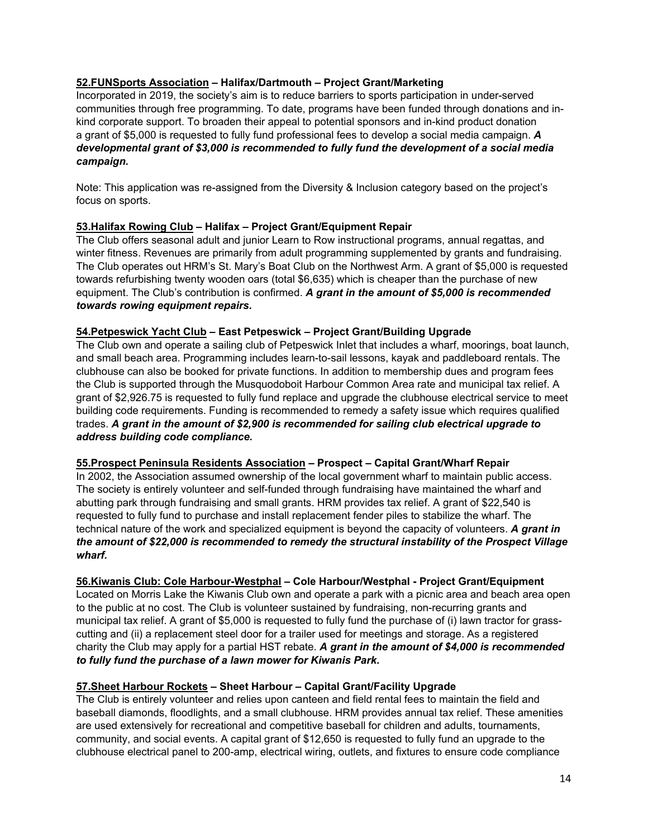#### **52.FUNSports Association – Halifax/Dartmouth – Project Grant/Marketing**

Incorporated in 2019, the society's aim is to reduce barriers to sports participation in under-served communities through free programming. To date, programs have been funded through donations and inkind corporate support. To broaden their appeal to potential sponsors and in-kind product donation a grant of \$5,000 is requested to fully fund professional fees to develop a social media campaign. *A developmental grant of \$3,000 is recommended to fully fund the development of a social media campaign.*

Note: This application was re-assigned from the Diversity & Inclusion category based on the project's focus on sports.

#### **53.Halifax Rowing Club – Halifax – Project Grant/Equipment Repair**

The Club offers seasonal adult and junior Learn to Row instructional programs, annual regattas, and winter fitness. Revenues are primarily from adult programming supplemented by grants and fundraising. The Club operates out HRM's St. Mary's Boat Club on the Northwest Arm. A grant of \$5,000 is requested towards refurbishing twenty wooden oars (total \$6,635) which is cheaper than the purchase of new equipment. The Club's contribution is confirmed. *A grant in the amount of \$5,000 is recommended towards rowing equipment repairs.*

#### **54.Petpeswick Yacht Club – East Petpeswick – Project Grant/Building Upgrade**

The Club own and operate a sailing club of Petpeswick Inlet that includes a wharf, moorings, boat launch, and small beach area. Programming includes learn-to-sail lessons, kayak and paddleboard rentals. The clubhouse can also be booked for private functions. In addition to membership dues and program fees the Club is supported through the Musquodoboit Harbour Common Area rate and municipal tax relief. A grant of \$2,926.75 is requested to fully fund replace and upgrade the clubhouse electrical service to meet building code requirements. Funding is recommended to remedy a safety issue which requires qualified trades. *A grant in the amount of \$2,900 is recommended for sailing club electrical upgrade to address building code compliance.*

#### **55.Prospect Peninsula Residents Association – Prospect – Capital Grant/Wharf Repair**

In 2002, the Association assumed ownership of the local government wharf to maintain public access. The society is entirely volunteer and self-funded through fundraising have maintained the wharf and abutting park through fundraising and small grants. HRM provides tax relief. A grant of \$22,540 is requested to fully fund to purchase and install replacement fender piles to stabilize the wharf. The technical nature of the work and specialized equipment is beyond the capacity of volunteers. *A grant in the amount of \$22,000 is recommended to remedy the structural instability of the Prospect Village wharf.*

#### **56.Kiwanis Club: Cole Harbour-Westphal – Cole Harbour/Westphal - Project Grant/Equipment**

Located on Morris Lake the Kiwanis Club own and operate a park with a picnic area and beach area open to the public at no cost. The Club is volunteer sustained by fundraising, non-recurring grants and municipal tax relief. A grant of \$5,000 is requested to fully fund the purchase of (i) lawn tractor for grasscutting and (ii) a replacement steel door for a trailer used for meetings and storage. As a registered charity the Club may apply for a partial HST rebate. *A grant in the amount of \$4,000 is recommended to fully fund the purchase of a lawn mower for Kiwanis Park.*

### **57.Sheet Harbour Rockets – Sheet Harbour – Capital Grant/Facility Upgrade**

The Club is entirely volunteer and relies upon canteen and field rental fees to maintain the field and baseball diamonds, floodlights, and a small clubhouse. HRM provides annual tax relief. These amenities are used extensively for recreational and competitive baseball for children and adults, tournaments, community, and social events. A capital grant of \$12,650 is requested to fully fund an upgrade to the clubhouse electrical panel to 200-amp, electrical wiring, outlets, and fixtures to ensure code compliance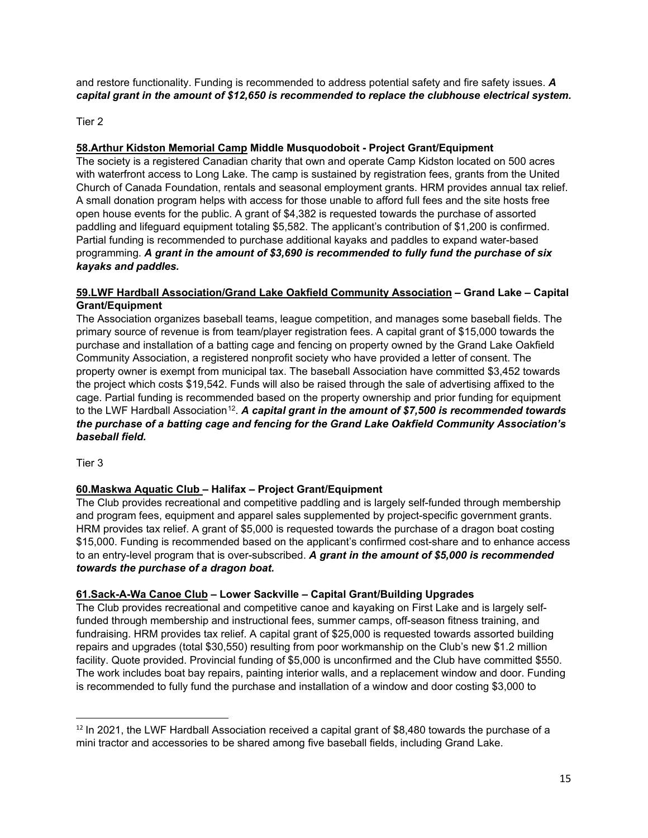and restore functionality. Funding is recommended to address potential safety and fire safety issues. *A capital grant in the amount of \$12,650 is recommended to replace the clubhouse electrical system.*

Tier 2

# **58.Arthur Kidston Memorial Camp Middle Musquodoboit - Project Grant/Equipment**

The society is a registered Canadian charity that own and operate Camp Kidston located on 500 acres with waterfront access to Long Lake. The camp is sustained by registration fees, grants from the United Church of Canada Foundation, rentals and seasonal employment grants. HRM provides annual tax relief. A small donation program helps with access for those unable to afford full fees and the site hosts free open house events for the public. A grant of \$4,382 is requested towards the purchase of assorted paddling and lifeguard equipment totaling \$5,582. The applicant's contribution of \$1,200 is confirmed. Partial funding is recommended to purchase additional kayaks and paddles to expand water-based programming. *A grant in the amount of \$3,690 is recommended to fully fund the purchase of six kayaks and paddles.*

#### **59.LWF Hardball Association/Grand Lake Oakfield Community Association – Grand Lake – Capital Grant/Equipment**

The Association organizes baseball teams, league competition, and manages some baseball fields. The primary source of revenue is from team/player registration fees. A capital grant of \$15,000 towards the purchase and installation of a batting cage and fencing on property owned by the Grand Lake Oakfield Community Association, a registered nonprofit society who have provided a letter of consent. The property owner is exempt from municipal tax. The baseball Association have committed \$3,452 towards the project which costs \$19,542. Funds will also be raised through the sale of advertising affixed to the cage. Partial funding is recommended based on the property ownership and prior funding for equipment to the LWF Hardball Association<sup>12</sup>. *A capital grant in the amount of \$7,500 is recommended towards the purchase of a batting cage and fencing for the Grand Lake Oakfield Community Association's baseball field.*

Tier 3

### **60.Maskwa Aquatic Club – Halifax – Project Grant/Equipment**

The Club provides recreational and competitive paddling and is largely self-funded through membership and program fees, equipment and apparel sales supplemented by project-specific government grants. HRM provides tax relief. A grant of \$5,000 is requested towards the purchase of a dragon boat costing \$15,000. Funding is recommended based on the applicant's confirmed cost-share and to enhance access to an entry-level program that is over-subscribed. *A grant in the amount of \$5,000 is recommended towards the purchase of a dragon boat.*

### **61.Sack-A-Wa Canoe Club – Lower Sackville – Capital Grant/Building Upgrades**

The Club provides recreational and competitive canoe and kayaking on First Lake and is largely selffunded through membership and instructional fees, summer camps, off-season fitness training, and fundraising. HRM provides tax relief. A capital grant of \$25,000 is requested towards assorted building repairs and upgrades (total \$30,550) resulting from poor workmanship on the Club's new \$1.2 million facility. Quote provided. Provincial funding of \$5,000 is unconfirmed and the Club have committed \$550. The work includes boat bay repairs, painting interior walls, and a replacement window and door. Funding is recommended to fully fund the purchase and installation of a window and door costing \$3,000 to

<span id="page-22-0"></span><sup>&</sup>lt;sup>12</sup> In 2021, the LWF Hardball Association received a capital grant of \$8,480 towards the purchase of a mini tractor and accessories to be shared among five baseball fields, including Grand Lake.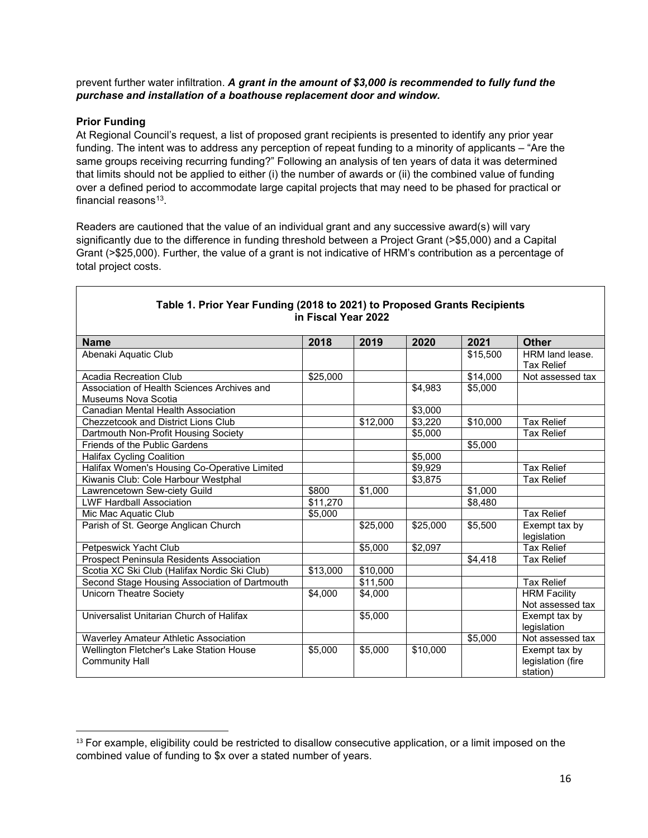#### prevent further water infiltration. *A grant in the amount of \$3,000 is recommended to fully fund the purchase and installation of a boathouse replacement door and window.*

#### **Prior Funding**

At Regional Council's request, a list of proposed grant recipients is presented to identify any prior year funding. The intent was to address any perception of repeat funding to a minority of applicants – "Are the same groups receiving recurring funding?" Following an analysis of ten years of data it was determined that limits should not be applied to either (i) the number of awards or (ii) the combined value of funding over a defined period to accommodate large capital projects that may need to be phased for practical or financial reasons $13$ .

Readers are cautioned that the value of an individual grant and any successive award(s) will vary significantly due to the difference in funding threshold between a Project Grant (>\$5,000) and a Capital Grant (>\$25,000). Further, the value of a grant is not indicative of HRM's contribution as a percentage of total project costs.

| <b>Name</b>                                     | 2018     | 2019     | 2020     | 2021             | <b>Other</b>        |
|-------------------------------------------------|----------|----------|----------|------------------|---------------------|
| Abenaki Aquatic Club                            |          |          |          | \$15,500         | HRM land lease.     |
|                                                 |          |          |          |                  | <b>Tax Relief</b>   |
| Acadia Recreation Club                          | \$25,000 |          |          | $\sqrt{$14,000}$ | Not assessed tax    |
| Association of Health Sciences Archives and     |          |          | \$4.983  | \$5.000          |                     |
| Museums Nova Scotia                             |          |          |          |                  |                     |
| Canadian Mental Health Association              |          |          | \$3,000  |                  |                     |
| <b>Chezzetcook and District Lions Club</b>      |          | \$12,000 | \$3,220  | \$10,000         | <b>Tax Relief</b>   |
| Dartmouth Non-Profit Housing Society            |          |          | \$5,000  |                  | <b>Tax Relief</b>   |
| Friends of the Public Gardens                   |          |          |          | \$5.000          |                     |
| <b>Halifax Cycling Coalition</b>                |          |          | \$5,000  |                  |                     |
| Halifax Women's Housing Co-Operative Limited    |          |          | \$9,929  |                  | <b>Tax Relief</b>   |
| Kiwanis Club: Cole Harbour Westphal             |          |          | \$3.875  |                  | <b>Tax Relief</b>   |
| Lawrencetown Sew-ciety Guild                    | \$800    | \$1,000  |          | \$1,000          |                     |
| <b>LWF Hardball Association</b>                 | \$11,270 |          |          | \$8,480          |                     |
| Mic Mac Aquatic Club                            | \$5,000  |          |          |                  | <b>Tax Relief</b>   |
| Parish of St. George Anglican Church            |          | \$25,000 | \$25,000 | \$5,500          | Exempt tax by       |
|                                                 |          |          |          |                  | legislation         |
| Petpeswick Yacht Club                           |          | \$5,000  | \$2,097  |                  | <b>Tax Relief</b>   |
| <b>Prospect Peninsula Residents Association</b> |          |          |          | \$4,418          | <b>Tax Relief</b>   |
| Scotia XC Ski Club (Halifax Nordic Ski Club)    | \$13,000 | \$10,000 |          |                  |                     |
| Second Stage Housing Association of Dartmouth   |          | \$11.500 |          |                  | <b>Tax Relief</b>   |
| <b>Unicorn Theatre Society</b>                  | \$4,000  | \$4.000  |          |                  | <b>HRM Facility</b> |
|                                                 |          |          |          |                  | Not assessed tax    |
| Universalist Unitarian Church of Halifax        |          | \$5,000  |          |                  | Exempt tax by       |
|                                                 |          |          |          |                  | legislation         |
| Waverley Amateur Athletic Association           |          |          |          | \$5,000          | Not assessed tax    |
| Wellington Fletcher's Lake Station House        | \$5,000  | \$5,000  | \$10,000 |                  | Exempt tax by       |
| <b>Community Hall</b>                           |          |          |          |                  | legislation (fire   |
|                                                 |          |          |          |                  | station)            |

#### **Table 1. Prior Year Funding (2018 to 2021) to Proposed Grants Recipients in Fiscal Year 2022**

<span id="page-23-0"></span><sup>&</sup>lt;sup>13</sup> For example, eligibility could be restricted to disallow consecutive application, or a limit imposed on the combined value of funding to \$x over a stated number of years.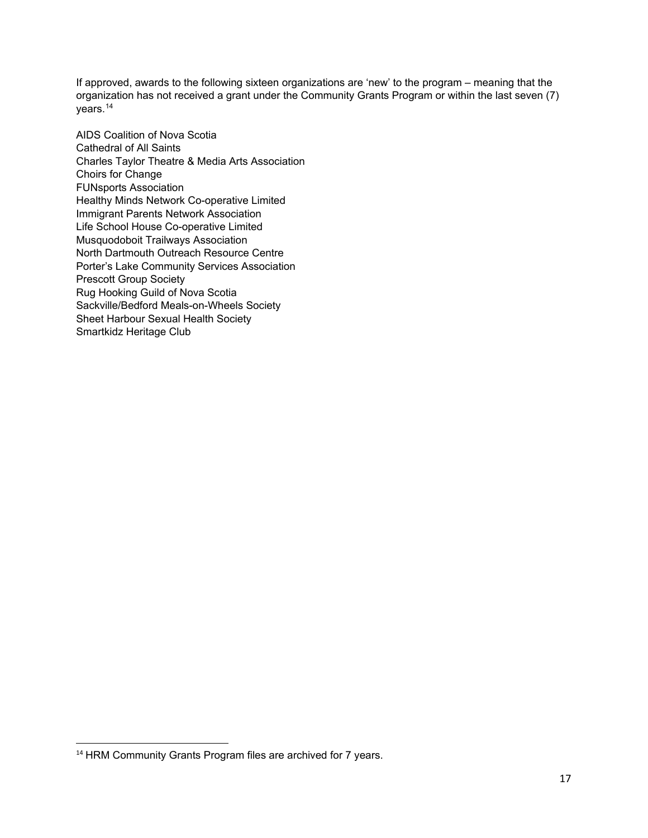If approved, awards to the following sixteen organizations are 'new' to the program – meaning that the organization has not received a grant under the Community Grants Program or within the last seven (7) years.[14](#page-24-0)

AIDS Coalition of Nova Scotia Cathedral of All Saints Charles Taylor Theatre & Media Arts Association Choirs for Change FUNsports Association Healthy Minds Network Co-operative Limited Immigrant Parents Network Association Life School House Co-operative Limited Musquodoboit Trailways Association North Dartmouth Outreach Resource Centre Porter's Lake Community Services Association Prescott Group Society Rug Hooking Guild of Nova Scotia Sackville/Bedford Meals-on-Wheels Society Sheet Harbour Sexual Health Society Smartkidz Heritage Club

<span id="page-24-0"></span><sup>&</sup>lt;sup>14</sup> HRM Community Grants Program files are archived for 7 years.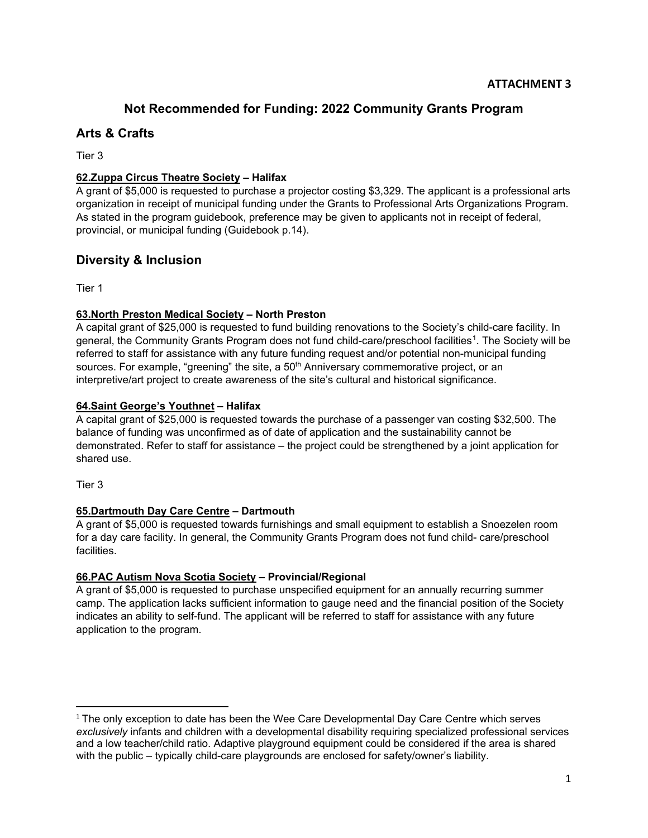# **Not Recommended for Funding: 2022 Community Grants Program**

# **Arts & Crafts**

Tier 3

#### **62.Zuppa Circus Theatre Society – Halifax**

A grant of \$5,000 is requested to purchase a projector costing \$3,329. The applicant is a professional arts organization in receipt of municipal funding under the Grants to Professional Arts Organizations Program. As stated in the program guidebook, preference may be given to applicants not in receipt of federal, provincial, or municipal funding (Guidebook p.14).

# **Diversity & Inclusion**

Tier 1

### **63.North Preston Medical Society – North Preston**

A capital grant of \$25,000 is requested to fund building renovations to the Society's child-care facility. In general, the Community Grants Program does not fund child-care/preschool facilities[1](#page-25-0). The Society will be referred to staff for assistance with any future funding request and/or potential non-municipal funding sources. For example, "greening" the site, a 50<sup>th</sup> Anniversary commemorative project, or an interpretive/art project to create awareness of the site's cultural and historical significance.

#### **64.Saint George's Youthnet – Halifax**

A capital grant of \$25,000 is requested towards the purchase of a passenger van costing \$32,500. The balance of funding was unconfirmed as of date of application and the sustainability cannot be demonstrated. Refer to staff for assistance – the project could be strengthened by a joint application for shared use.

Tier 3

### **65.Dartmouth Day Care Centre – Dartmouth**

A grant of \$5,000 is requested towards furnishings and small equipment to establish a Snoezelen room for a day care facility. In general, the Community Grants Program does not fund child- care/preschool facilities.

#### **66.PAC Autism Nova Scotia Society – Provincial/Regional**

A grant of \$5,000 is requested to purchase unspecified equipment for an annually recurring summer camp. The application lacks sufficient information to gauge need and the financial position of the Society indicates an ability to self-fund. The applicant will be referred to staff for assistance with any future application to the program.

<span id="page-25-0"></span> $1$  The only exception to date has been the Wee Care Developmental Day Care Centre which serves *exclusively* infants and children with a developmental disability requiring specialized professional services and a low teacher/child ratio. Adaptive playground equipment could be considered if the area is shared with the public – typically child-care playgrounds are enclosed for safety/owner's liability.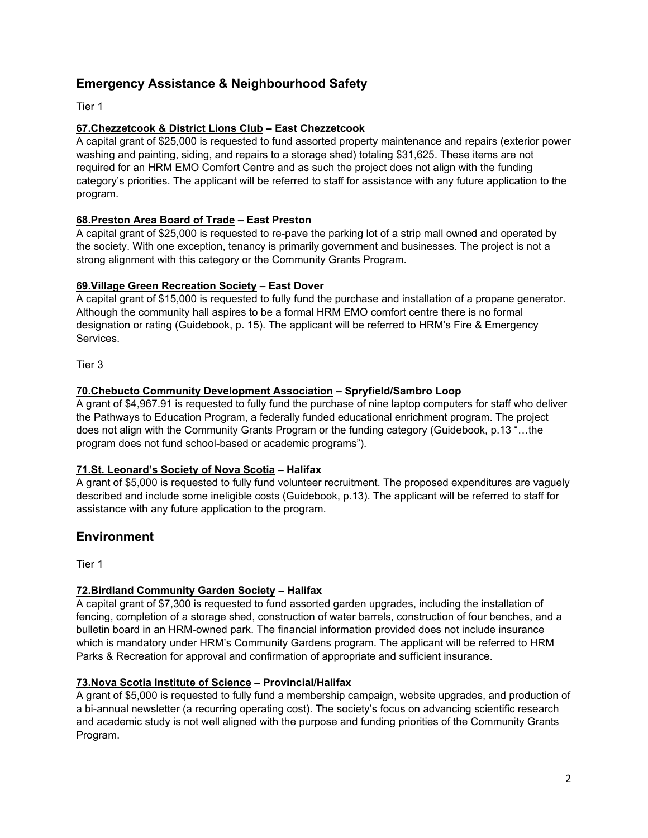# **Emergency Assistance & Neighbourhood Safety**

Tier 1

### **67.Chezzetcook & District Lions Club – East Chezzetcook**

A capital grant of \$25,000 is requested to fund assorted property maintenance and repairs (exterior power washing and painting, siding, and repairs to a storage shed) totaling \$31,625. These items are not required for an HRM EMO Comfort Centre and as such the project does not align with the funding category's priorities. The applicant will be referred to staff for assistance with any future application to the program.

#### **68.Preston Area Board of Trade – East Preston**

A capital grant of \$25,000 is requested to re-pave the parking lot of a strip mall owned and operated by the society. With one exception, tenancy is primarily government and businesses. The project is not a strong alignment with this category or the Community Grants Program.

#### **69.Village Green Recreation Society – East Dover**

A capital grant of \$15,000 is requested to fully fund the purchase and installation of a propane generator. Although the community hall aspires to be a formal HRM EMO comfort centre there is no formal designation or rating (Guidebook, p. 15). The applicant will be referred to HRM's Fire & Emergency Services.

Tier 3

#### **70.Chebucto Community Development Association – Spryfield/Sambro Loop**

A grant of \$4,967.91 is requested to fully fund the purchase of nine laptop computers for staff who deliver the Pathways to Education Program, a federally funded educational enrichment program. The project does not align with the Community Grants Program or the funding category (Guidebook, p.13 "…the program does not fund school-based or academic programs").

#### **71.St. Leonard's Society of Nova Scotia – Halifax**

A grant of \$5,000 is requested to fully fund volunteer recruitment. The proposed expenditures are vaguely described and include some ineligible costs (Guidebook, p.13). The applicant will be referred to staff for assistance with any future application to the program.

# **Environment**

Tier 1

#### **72.Birdland Community Garden Society – Halifax**

A capital grant of \$7,300 is requested to fund assorted garden upgrades, including the installation of fencing, completion of a storage shed, construction of water barrels, construction of four benches, and a bulletin board in an HRM-owned park. The financial information provided does not include insurance which is mandatory under HRM's Community Gardens program. The applicant will be referred to HRM Parks & Recreation for approval and confirmation of appropriate and sufficient insurance.

#### **73.Nova Scotia Institute of Science – Provincial/Halifax**

A grant of \$5,000 is requested to fully fund a membership campaign, website upgrades, and production of a bi-annual newsletter (a recurring operating cost). The society's focus on advancing scientific research and academic study is not well aligned with the purpose and funding priorities of the Community Grants Program.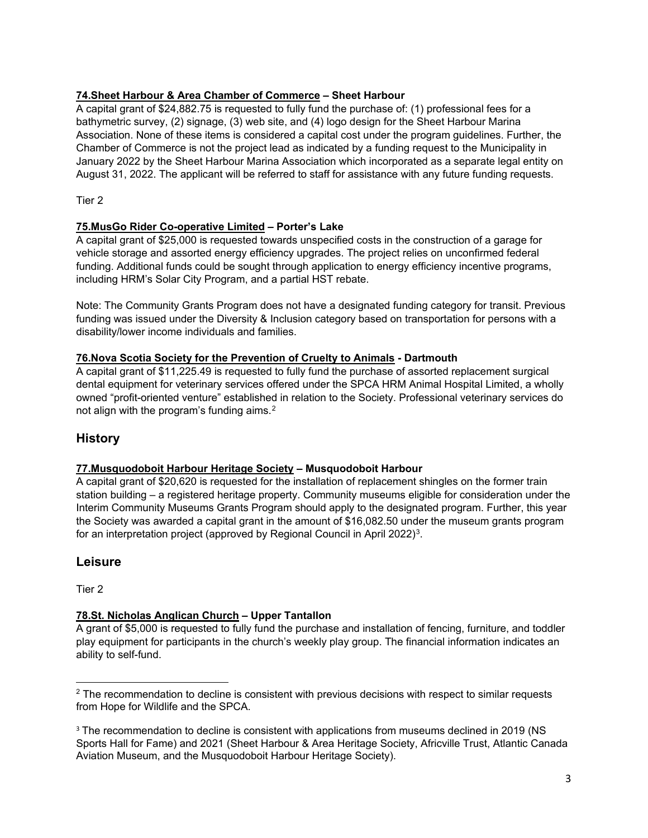### **74.Sheet Harbour & Area Chamber of Commerce – Sheet Harbour**

A capital grant of \$24,882.75 is requested to fully fund the purchase of: (1) professional fees for a bathymetric survey, (2) signage, (3) web site, and (4) logo design for the Sheet Harbour Marina Association. None of these items is considered a capital cost under the program guidelines. Further, the Chamber of Commerce is not the project lead as indicated by a funding request to the Municipality in January 2022 by the Sheet Harbour Marina Association which incorporated as a separate legal entity on August 31, 2022. The applicant will be referred to staff for assistance with any future funding requests.

Tier 2

#### **75.MusGo Rider Co-operative Limited – Porter's Lake**

A capital grant of \$25,000 is requested towards unspecified costs in the construction of a garage for vehicle storage and assorted energy efficiency upgrades. The project relies on unconfirmed federal funding. Additional funds could be sought through application to energy efficiency incentive programs, including HRM's Solar City Program, and a partial HST rebate.

Note: The Community Grants Program does not have a designated funding category for transit. Previous funding was issued under the Diversity & Inclusion category based on transportation for persons with a disability/lower income individuals and families.

#### **76.Nova Scotia Society for the Prevention of Cruelty to Animals - Dartmouth**

A capital grant of \$11,225.49 is requested to fully fund the purchase of assorted replacement surgical dental equipment for veterinary services offered under the SPCA HRM Animal Hospital Limited, a wholly owned "profit-oriented venture" established in relation to the Society. Professional veterinary services do not align with the program's funding aims. $2$ 

# **History**

#### **77.Musquodoboit Harbour Heritage Society – Musquodoboit Harbour**

A capital grant of \$20,620 is requested for the installation of replacement shingles on the former train station building – a registered heritage property. Community museums eligible for consideration under the Interim Community Museums Grants Program should apply to the designated program. Further, this year the Society was awarded a capital grant in the amount of \$16,082.50 under the museum grants program for an interpretation project (approved by Regional Council in April 2022)<sup>3</sup>.

# **Leisure**

Tier 2

### **78.St. Nicholas Anglican Church – Upper Tantallon**

A grant of \$5,000 is requested to fully fund the purchase and installation of fencing, furniture, and toddler play equipment for participants in the church's weekly play group. The financial information indicates an ability to self-fund.

<span id="page-27-0"></span><sup>&</sup>lt;sup>2</sup> The recommendation to decline is consistent with previous decisions with respect to similar requests from Hope for Wildlife and the SPCA.

<span id="page-27-1"></span><sup>&</sup>lt;sup>3</sup> The recommendation to decline is consistent with applications from museums declined in 2019 (NS Sports Hall for Fame) and 2021 (Sheet Harbour & Area Heritage Society, Africville Trust, Atlantic Canada Aviation Museum, and the Musquodoboit Harbour Heritage Society).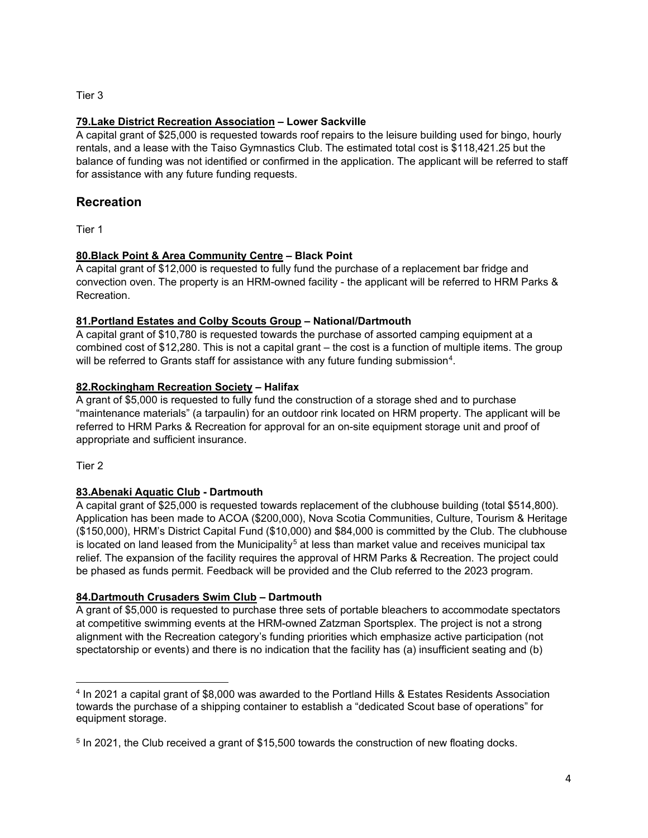Tier 3

#### **79.Lake District Recreation Association – Lower Sackville**

A capital grant of \$25,000 is requested towards roof repairs to the leisure building used for bingo, hourly rentals, and a lease with the Taiso Gymnastics Club. The estimated total cost is \$118,421.25 but the balance of funding was not identified or confirmed in the application. The applicant will be referred to staff for assistance with any future funding requests.

# **Recreation**

Tier 1

### **80.Black Point & Area Community Centre – Black Point**

A capital grant of \$12,000 is requested to fully fund the purchase of a replacement bar fridge and convection oven. The property is an HRM-owned facility - the applicant will be referred to HRM Parks & Recreation.

#### **81.Portland Estates and Colby Scouts Group – National/Dartmouth**

A capital grant of \$10,780 is requested towards the purchase of assorted camping equipment at a combined cost of \$12,280. This is not a capital grant – the cost is a function of multiple items. The group will be referred to Grants staff for assistance with any future funding submission<sup>4</sup>.

#### **82.Rockingham Recreation Society – Halifax**

A grant of \$5,000 is requested to fully fund the construction of a storage shed and to purchase "maintenance materials" (a tarpaulin) for an outdoor rink located on HRM property. The applicant will be referred to HRM Parks & Recreation for approval for an on-site equipment storage unit and proof of appropriate and sufficient insurance.

Tier 2

### **83.Abenaki Aquatic Club - Dartmouth**

A capital grant of \$25,000 is requested towards replacement of the clubhouse building (total \$514,800). Application has been made to ACOA (\$200,000), Nova Scotia Communities, Culture, Tourism & Heritage (\$150,000), HRM's District Capital Fund (\$10,000) and \$84,000 is committed by the Club. The clubhouse is located on land leased from the Municipality<sup>[5](#page-28-1)</sup> at less than market value and receives municipal tax relief. The expansion of the facility requires the approval of HRM Parks & Recreation. The project could be phased as funds permit. Feedback will be provided and the Club referred to the 2023 program.

#### **84.Dartmouth Crusaders Swim Club – Dartmouth**

A grant of \$5,000 is requested to purchase three sets of portable bleachers to accommodate spectators at competitive swimming events at the HRM-owned Zatzman Sportsplex. The project is not a strong alignment with the Recreation category's funding priorities which emphasize active participation (not spectatorship or events) and there is no indication that the facility has (a) insufficient seating and (b)

<span id="page-28-0"></span><sup>4</sup> In 2021 a capital grant of \$8,000 was awarded to the Portland Hills & Estates Residents Association towards the purchase of a shipping container to establish a "dedicated Scout base of operations" for equipment storage.

<span id="page-28-1"></span><sup>5</sup> In 2021, the Club received a grant of \$15,500 towards the construction of new floating docks.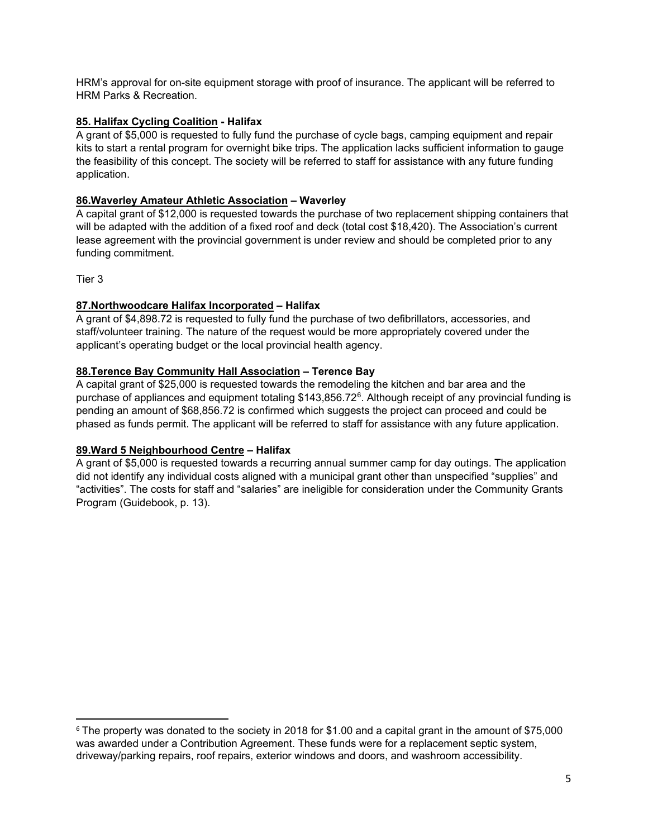HRM's approval for on-site equipment storage with proof of insurance. The applicant will be referred to HRM Parks & Recreation.

#### **85. Halifax Cycling Coalition - Halifax**

A grant of \$5,000 is requested to fully fund the purchase of cycle bags, camping equipment and repair kits to start a rental program for overnight bike trips. The application lacks sufficient information to gauge the feasibility of this concept. The society will be referred to staff for assistance with any future funding application.

#### **86.Waverley Amateur Athletic Association – Waverley**

A capital grant of \$12,000 is requested towards the purchase of two replacement shipping containers that will be adapted with the addition of a fixed roof and deck (total cost \$18,420). The Association's current lease agreement with the provincial government is under review and should be completed prior to any funding commitment.

Tier 3

#### **87.Northwoodcare Halifax Incorporated – Halifax**

A grant of \$4,898.72 is requested to fully fund the purchase of two defibrillators, accessories, and staff/volunteer training. The nature of the request would be more appropriately covered under the applicant's operating budget or the local provincial health agency.

#### **88.Terence Bay Community Hall Association – Terence Bay**

A capital grant of \$25,000 is requested towards the remodeling the kitchen and bar area and the purchase of appliances and equipment totaling \$143,856.72[6](#page-29-0). Although receipt of any provincial funding is pending an amount of \$68,856.72 is confirmed which suggests the project can proceed and could be phased as funds permit. The applicant will be referred to staff for assistance with any future application.

#### **89.Ward 5 Neighbourhood Centre – Halifax**

A grant of \$5,000 is requested towards a recurring annual summer camp for day outings. The application did not identify any individual costs aligned with a municipal grant other than unspecified "supplies" and "activities". The costs for staff and "salaries" are ineligible for consideration under the Community Grants Program (Guidebook, p. 13).

<span id="page-29-0"></span><sup>6</sup> The property was donated to the society in 2018 for \$1.00 and a capital grant in the amount of \$75,000 was awarded under a Contribution Agreement. These funds were for a replacement septic system, driveway/parking repairs, roof repairs, exterior windows and doors, and washroom accessibility.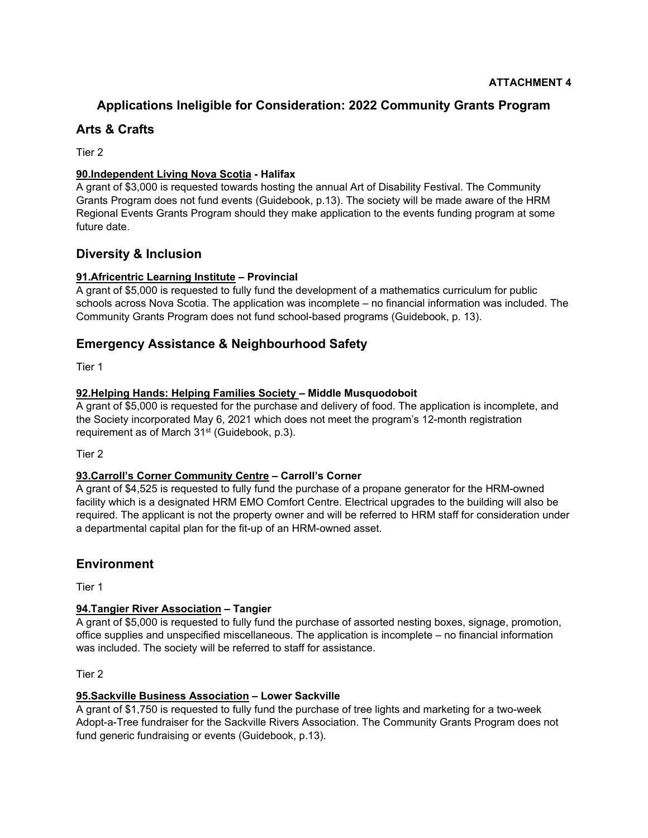# **Applications Ineligible for Consideration: 2022 Community Grants Program**

# **Arts & Crafts**

Tier 2

#### **90.Independent Living Nova Scotia - Halifax**

A grant of \$3,000 is requested towards hosting the annual Art of Disability Festival. The Community Grants Program does not fund events (Guidebook, p.13). The society will be made aware of the HRM Regional Events Grants Program should they make application to the events funding program at some future date.

# **Diversity & Inclusion**

#### **91.Africentric Learning Institute – Provincial**

A grant of \$5,000 is requested to fully fund the development of a mathematics curriculum for public schools across Nova Scotia. The application was incomplete – no financial information was included. The Community Grants Program does not fund school-based programs (Guidebook, p. 13).

# **Emergency Assistance & Neighbourhood Safety**

Tier 1

#### **92.Helping Hands: Helping Families Society – Middle Musquodoboit**

A grant of \$5,000 is requested for the purchase and delivery of food. The application is incomplete, and the Society incorporated May 6, 2021 which does not meet the program's 12-month registration requirement as of March 31<sup>st</sup> (Guidebook, p.3).

Tier 2

#### **93.Carroll's Corner Community Centre – Carroll's Corner**

A grant of \$4,525 is requested to fully fund the purchase of a propane generator for the HRM-owned facility which is a designated HRM EMO Comfort Centre. Electrical upgrades to the building will also be required. The applicant is not the property owner and will be referred to HRM staff for consideration under a departmental capital plan for the fit-up of an HRM-owned asset.

# **Environment**

Tier 1

#### **94.Tangier River Association – Tangier**

A grant of \$5,000 is requested to fully fund the purchase of assorted nesting boxes, signage, promotion, office supplies and unspecified miscellaneous. The application is incomplete – no financial information was included. The society will be referred to staff for assistance.

Tier 2

#### **95.Sackville Business Association – Lower Sackville**

A grant of \$1,750 is requested to fully fund the purchase of tree lights and marketing for a two-week Adopt-a-Tree fundraiser for the Sackville Rivers Association. The Community Grants Program does not fund generic fundraising or events (Guidebook, p.13).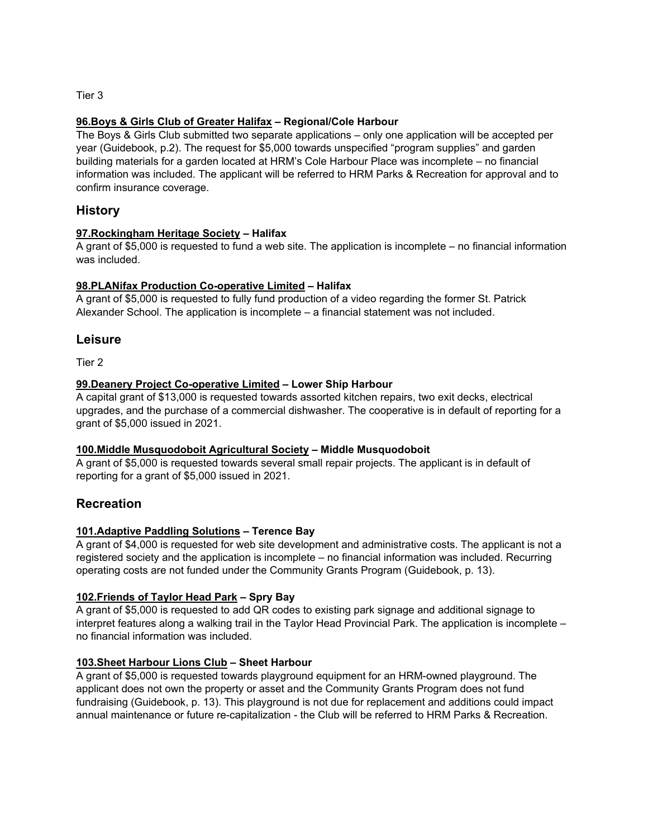Tier 3

#### **96.Boys & Girls Club of Greater Halifax – Regional/Cole Harbour**

The Boys & Girls Club submitted two separate applications – only one application will be accepted per year (Guidebook, p.2). The request for \$5,000 towards unspecified "program supplies" and garden building materials for a garden located at HRM's Cole Harbour Place was incomplete – no financial information was included. The applicant will be referred to HRM Parks & Recreation for approval and to confirm insurance coverage.

#### **History**

#### **97.Rockingham Heritage Society – Halifax**

A grant of \$5,000 is requested to fund a web site. The application is incomplete – no financial information was included.

#### **98.PLANifax Production Co-operative Limited – Halifax**

A grant of \$5,000 is requested to fully fund production of a video regarding the former St. Patrick Alexander School. The application is incomplete – a financial statement was not included.

#### **Leisure**

Tier 2

#### **99.Deanery Project Co-operative Limited – Lower Ship Harbour**

A capital grant of \$13,000 is requested towards assorted kitchen repairs, two exit decks, electrical upgrades, and the purchase of a commercial dishwasher. The cooperative is in default of reporting for a grant of \$5,000 issued in 2021.

#### **100.Middle Musquodoboit Agricultural Society – Middle Musquodoboit**

A grant of \$5,000 is requested towards several small repair projects. The applicant is in default of reporting for a grant of \$5,000 issued in 2021.

#### **Recreation**

#### **101.Adaptive Paddling Solutions – Terence Bay**

A grant of \$4,000 is requested for web site development and administrative costs. The applicant is not a registered society and the application is incomplete – no financial information was included. Recurring operating costs are not funded under the Community Grants Program (Guidebook, p. 13).

#### **102.Friends of Taylor Head Park – Spry Bay**

A grant of \$5,000 is requested to add QR codes to existing park signage and additional signage to interpret features along a walking trail in the Taylor Head Provincial Park. The application is incomplete – no financial information was included.

#### **103.Sheet Harbour Lions Club – Sheet Harbour**

A grant of \$5,000 is requested towards playground equipment for an HRM-owned playground. The applicant does not own the property or asset and the Community Grants Program does not fund fundraising (Guidebook, p. 13). This playground is not due for replacement and additions could impact annual maintenance or future re-capitalization - the Club will be referred to HRM Parks & Recreation.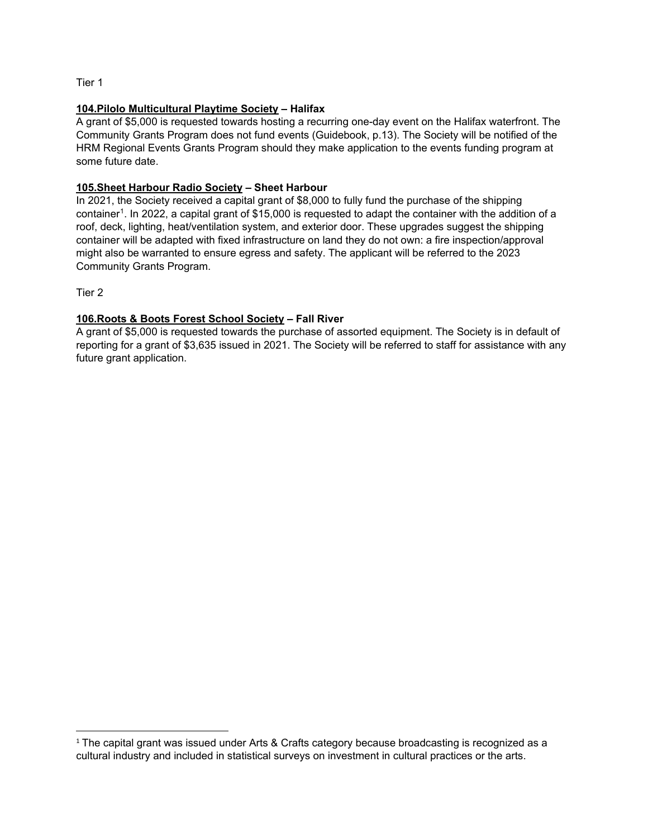Tier 1

#### **104.Pilolo Multicultural Playtime Society – Halifax**

A grant of \$5,000 is requested towards hosting a recurring one-day event on the Halifax waterfront. The Community Grants Program does not fund events (Guidebook, p.13). The Society will be notified of the HRM Regional Events Grants Program should they make application to the events funding program at some future date.

#### **105.Sheet Harbour Radio Society – Sheet Harbour**

In 2021, the Society received a capital grant of \$8,000 to fully fund the purchase of the shipping container<sup>[1](#page-32-0)</sup>. In 2022, a capital grant of \$15,000 is requested to adapt the container with the addition of a roof, deck, lighting, heat/ventilation system, and exterior door. These upgrades suggest the shipping container will be adapted with fixed infrastructure on land they do not own: a fire inspection/approval might also be warranted to ensure egress and safety. The applicant will be referred to the 2023 Community Grants Program.

Tier 2

#### **106.Roots & Boots Forest School Society – Fall River**

A grant of \$5,000 is requested towards the purchase of assorted equipment. The Society is in default of reporting for a grant of \$3,635 issued in 2021. The Society will be referred to staff for assistance with any future grant application.

<span id="page-32-0"></span> $1$  The capital grant was issued under Arts & Crafts category because broadcasting is recognized as a cultural industry and included in statistical surveys on investment in cultural practices or the arts.